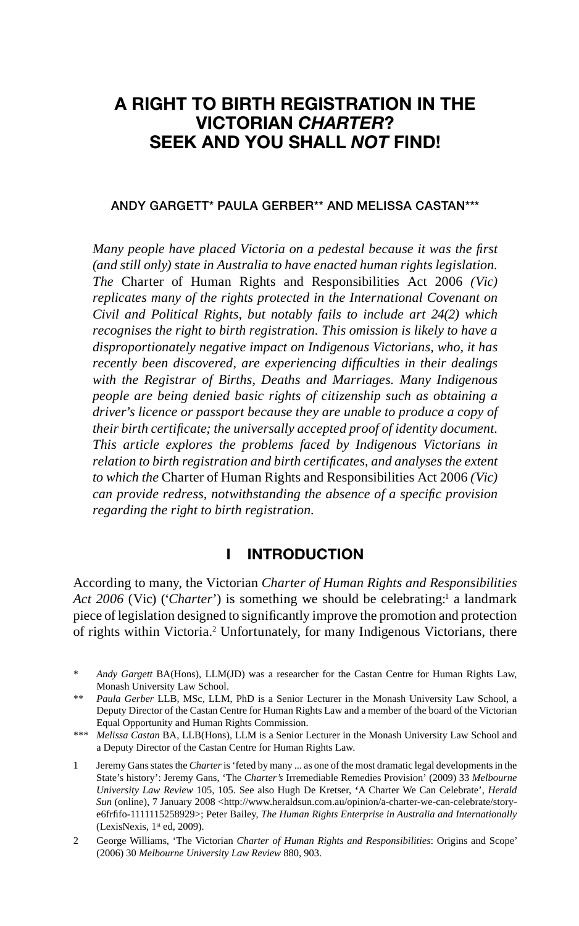# **A RIGHT TO BIRTH REGISTRATION IN THE VICTORIAN** *CHARTER***? SEEK AND YOU SHALL** *NOT* **FIND!**

#### **ANDY GARGETT\* PAULA GERBER\*\* AND MELISSA CASTAN\*\*\***

*Many people have placed Victoria on a pedestal because it was the first (and still only) state in Australia to have enacted human rights legislation. The* Charter of Human Rights and Responsibilities Act 2006 *(Vic) replicates many of the rights protected in the International Covenant on Civil and Political Rights, but notably fails to include art 24(2) which recognises the right to birth registration. This omission is likely to have a disproportionately negative impact on Indigenous Victorians, who, it has recently been discovered, are experiencing diffi culties in their dealings with the Registrar of Births, Deaths and Marriages. Many Indigenous people are being denied basic rights of citizenship such as obtaining a driver's licence or passport because they are unable to produce a copy of their birth certifi cate; the universally accepted proof of identity document. This article explores the problems faced by Indigenous Victorians in relation to birth registration and birth certifi cates, and analyses the extent to which the* Charter of Human Rights and Responsibilities Act 2006 *(Vic) can provide redress, notwithstanding the absence of a specifi c provision regarding the right to birth registration.*

#### **I INTRODUCTION**

According to many, the Victorian *Charter of Human Rights and Responsibilities*  Act 2006 (Vic) ('Charter') is something we should be celebrating:<sup>1</sup> a landmark piece of legislation designed to significantly improve the promotion and protection of rights within Victoria.<sup>2</sup> Unfortunately, for many Indigenous Victorians, there

Andy Gargett BA(Hons), LLM(JD) was a researcher for the Castan Centre for Human Rights Law, Monash University Law School.

<sup>\*\*</sup> *Paula Gerber* LLB, MSc, LLM, PhD is a Senior Lecturer in the Monash University Law School, a Deputy Director of the Castan Centre for Human Rights Law and a member of the board of the Victorian Equal Opportunity and Human Rights Commission.

<sup>\*\*\*</sup> *Melissa Castan* BA, LLB(Hons), LLM is a Senior Lecturer in the Monash University Law School and a Deputy Director of the Castan Centre for Human Rights Law.

<sup>1</sup> Jeremy Gans states the *Charter* is 'feted by many ... as one of the most dramatic legal developments in the State's history': Jeremy Gans, 'The *Charter's* Irremediable Remedies Provision' (2009) 33 *Melbourne University Law Review* 105, 105. See also Hugh De Kretser, **'**A Charter We Can Celebrate', *Herald Sun* (online), 7 January 2008 <http://www.heraldsun.com.au/opinion/a-charter-we-can-celebrate/storye6frfifo-1111115258929>; Peter Bailey, *The Human Rights Enterprise in Australia and Internationally* (LexisNexis,  $1<sup>st</sup>$  ed, 2009).

<sup>2</sup> George Williams, 'The Victorian *Charter of Human Rights and Responsibilities*: Origins and Scope' (2006) 30 *Melbourne University Law Review* 880, 903.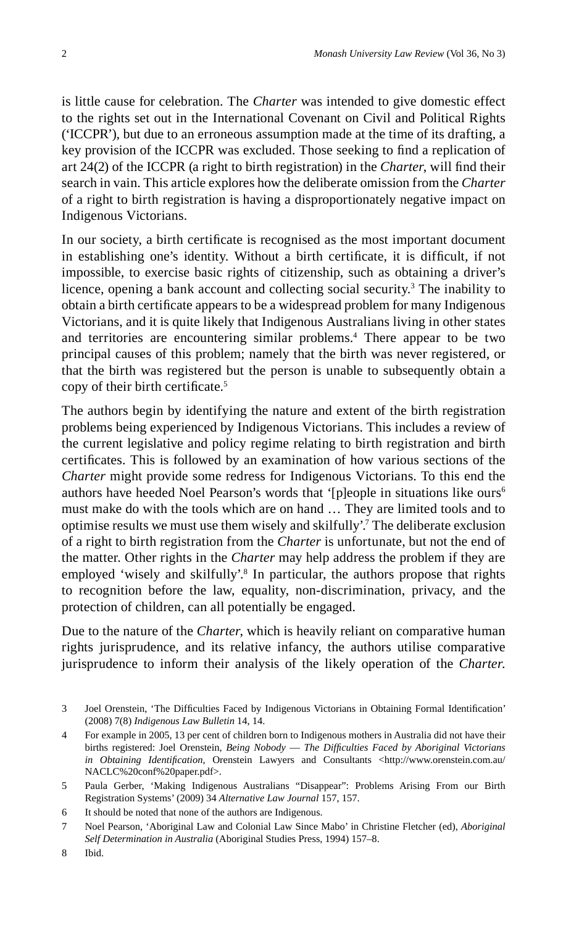is little cause for celebration. The *Charter* was intended to give domestic effect to the rights set out in the International Covenant on Civil and Political Rights ('ICCPR'), but due to an erroneous assumption made at the time of its drafting, a key provision of the ICCPR was excluded. Those seeking to find a replication of art 24(2) of the ICCPR (a right to birth registration) in the *Charter*, will find their search in vain. This article explores how the deliberate omission from the *Charter* of a right to birth registration is having a disproportionately negative impact on Indigenous Victorians.

In our society, a birth certificate is recognised as the most important document in establishing one's identity. Without a birth certificate, it is difficult, if not impossible, to exercise basic rights of citizenship, such as obtaining a driver's licence, opening a bank account and collecting social security.<sup>3</sup> The inability to obtain a birth certificate appears to be a widespread problem for many Indigenous Victorians, and it is quite likely that Indigenous Australians living in other states and territories are encountering similar problems.<sup>4</sup> There appear to be two principal causes of this problem; namely that the birth was never registered, or that the birth was registered but the person is unable to subsequently obtain a copy of their birth certificate.<sup>5</sup>

The authors begin by identifying the nature and extent of the birth registration problems being experienced by Indigenous Victorians. This includes a review of the current legislative and policy regime relating to birth registration and birth certificates. This is followed by an examination of how various sections of the *Charter* might provide some redress for Indigenous Victorians. To this end the authors have heeded Noel Pearson's words that '[p]eople in situations like ours<sup>6</sup> must make do with the tools which are on hand … They are limited tools and to optimise results we must use them wisely and skilfully'.7 The deliberate exclusion of a right to birth registration from the *Charter* is unfortunate, but not the end of the matter. Other rights in the *Charter* may help address the problem if they are employed 'wisely and skilfully'.<sup>8</sup> In particular, the authors propose that rights to recognition before the law, equality, non-discrimination, privacy, and the protection of children, can all potentially be engaged.

Due to the nature of the *Charter*, which is heavily reliant on comparative human rights jurisprudence, and its relative infancy, the authors utilise comparative jurisprudence to inform their analysis of the likely operation of the *Charter*.

<sup>3</sup> Joel Orenstein, 'The Difficulties Faced by Indigenous Victorians in Obtaining Formal Identification' (2008) 7(8) *Indigenous Law Bulletin* 14, 14.

<sup>4</sup> For example in 2005, 13 per cent of children born to Indigenous mothers in Australia did not have their births registered: Joel Orenstein, *Being Nobody* — *The Diffi culties Faced by Aboriginal Victorians in Obtaining Identification*, Orenstein Lawyers and Consultants <http://www.orenstein.com.au/ NACLC%20conf%20paper.pdf>.

<sup>5</sup> Paula Gerber, 'Making Indigenous Australians "Disappear": Problems Arising From our Birth Registration Systems' (2009) 34 *Alternative Law Journal* 157, 157.

<sup>6</sup> It should be noted that none of the authors are Indigenous.

<sup>7</sup> Noel Pearson, 'Aboriginal Law and Colonial Law Since Mabo' in Christine Fletcher (ed), *Aboriginal Self Determination in Australia* (Aboriginal Studies Press, 1994) 157–8.

<sup>8</sup> Ibid.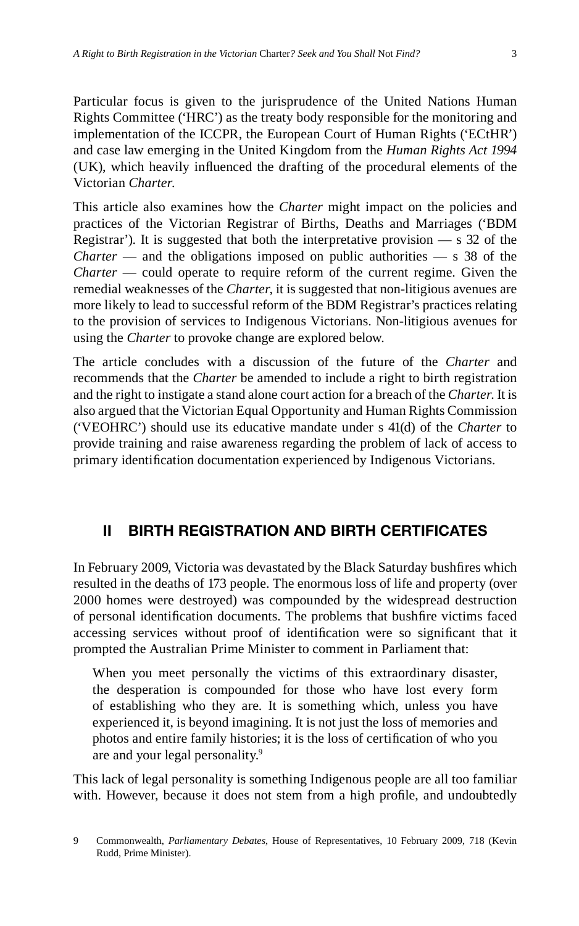Particular focus is given to the jurisprudence of the United Nations Human Rights Committee ('HRC') as the treaty body responsible for the monitoring and implementation of the ICCPR, the European Court of Human Rights ('ECtHR') and case law emerging in the United Kingdom from the *Human Rights Act 1994* (UK), which heavily influenced the drafting of the procedural elements of the Victorian *Charter*.

This article also examines how the *Charter* might impact on the policies and practices of the Victorian Registrar of Births, Deaths and Marriages ('BDM Registrar'). It is suggested that both the interpretative provision  $-$  s 32 of the *Charter* — and the obligations imposed on public authorities — s 38 of the *Charter* — could operate to require reform of the current regime. Given the remedial weaknesses of the *Charter*, it is suggested that non-litigious avenues are more likely to lead to successful reform of the BDM Registrar's practices relating to the provision of services to Indigenous Victorians. Non-litigious avenues for using the *Charter* to provoke change are explored below.

The article concludes with a discussion of the future of the *Charter* and recommends that the *Charter* be amended to include a right to birth registration and the right to instigate a stand alone court action for a breach of the *Charter*. It is also argued that the Victorian Equal Opportunity and Human Rights Commission ('VEOHRC') should use its educative mandate under s 41(d) of the *Charter* to provide training and raise awareness regarding the problem of lack of access to primary identification documentation experienced by Indigenous Victorians.

# **II BIRTH REGISTRATION AND BIRTH CERTIFICATES**

In February 2009, Victoria was devastated by the Black Saturday bushfires which resulted in the deaths of 173 people. The enormous loss of life and property (over 2000 homes were destroyed) was compounded by the widespread destruction of personal identification documents. The problems that bushfire victims faced accessing services without proof of identification were so significant that it prompted the Australian Prime Minister to comment in Parliament that:

When you meet personally the victims of this extraordinary disaster, the desperation is compounded for those who have lost every form of establishing who they are. It is something which, unless you have experienced it, is beyond imagining. It is not just the loss of memories and photos and entire family histories; it is the loss of certification of who you are and your legal personality.9

This lack of legal personality is something Indigenous people are all too familiar with. However, because it does not stem from a high profile, and undoubtedly

<sup>9</sup> Commonwealth, *Parliamentary Debates*, House of Representatives, 10 February 2009, 718 (Kevin Rudd, Prime Minister).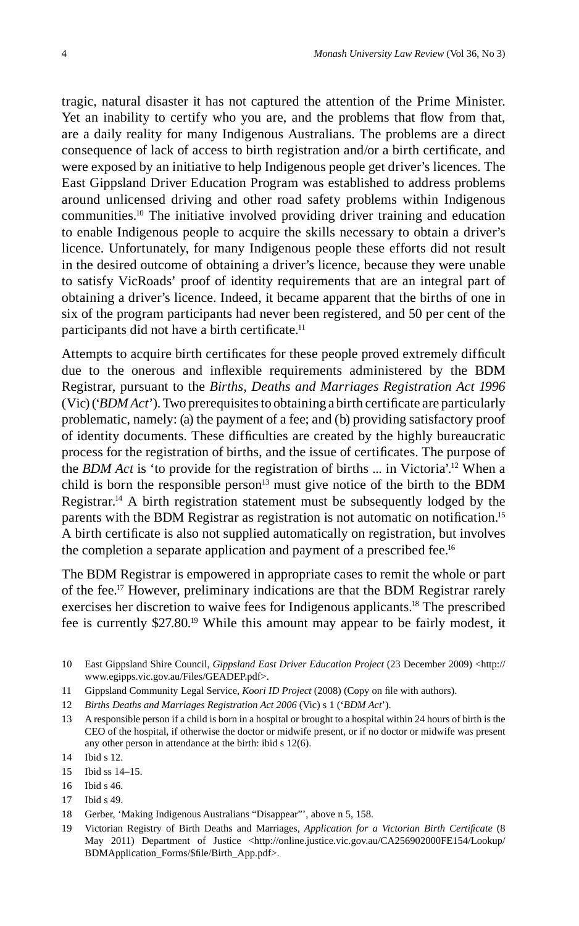tragic, natural disaster it has not captured the attention of the Prime Minister. Yet an inability to certify who you are, and the problems that flow from that, are a daily reality for many Indigenous Australians. The problems are a direct consequence of lack of access to birth registration and/or a birth certificate, and were exposed by an initiative to help Indigenous people get driver's licences. The East Gippsland Driver Education Program was established to address problems around unlicensed driving and other road safety problems within Indigenous communities.10 The initiative involved providing driver training and education to enable Indigenous people to acquire the skills necessary to obtain a driver's licence. Unfortunately, for many Indigenous people these efforts did not result in the desired outcome of obtaining a driver's licence, because they were unable to satisfy VicRoads' proof of identity requirements that are an integral part of obtaining a driver's licence. Indeed, it became apparent that the births of one in six of the program participants had never been registered, and 50 per cent of the participants did not have a birth certificate.<sup>11</sup>

Attempts to acquire birth certificates for these people proved extremely difficult due to the onerous and inflexible requirements administered by the BDM Registrar, pursuant to the *Births, Deaths and Marriages Registration Act 1996*  $(Vic)$  (*'BDM Act'*). Two prerequisites to obtaining a birth certificate are particularly problematic, namely: (a) the payment of a fee; and (b) providing satisfactory proof of identity documents. These difficulties are created by the highly bureaucratic process for the registration of births, and the issue of certificates. The purpose of the *BDM Act* is 'to provide for the registration of births ... in Victoria'.12 When a child is born the responsible person<sup>13</sup> must give notice of the birth to the BDM Registrar.14 A birth registration statement must be subsequently lodged by the parents with the BDM Registrar as registration is not automatic on notification.<sup>15</sup> A birth certificate is also not supplied automatically on registration, but involves the completion a separate application and payment of a prescribed fee.<sup>16</sup>

The BDM Registrar is empowered in appropriate cases to remit the whole or part of the fee.17 However, preliminary indications are that the BDM Registrar rarely exercises her discretion to waive fees for Indigenous applicants.18 The prescribed fee is currently \$27.80.19 While this amount may appear to be fairly modest, it

- 10 East Gippsland Shire Council, *Gippsland East Driver Education Project* (23 December 2009) <http:// www.egipps.vic.gov.au/Files/GEADEP.pdf>.
- 11 Gippsland Community Legal Service, *Koori ID Project* (2008) (Copy on file with authors).
- 12 *Births Deaths and Marriages Registration Act 2006* (Vic) s 1 ('*BDM Act*').
- 13 A responsible person if a child is born in a hospital or brought to a hospital within 24 hours of birth is the CEO of the hospital, if otherwise the doctor or midwife present, or if no doctor or midwife was present any other person in attendance at the birth: ibid s 12(6).

- 15 Ibid ss 14–15.
- 16 Ibid s 46.
- 17 Ibid s 49.
- 18 Gerber, 'Making Indigenous Australians "Disappear"', above n 5, 158.
- 19 Victorian Registry of Birth Deaths and Marriages, *Application for a Victorian Birth Certificate* (8 May 2011) Department of Justice <http://online.justice.vic.gov.au/CA256902000FE154/Lookup/ BDMApplication\_Forms/\$fi le/Birth\_App.pdf>.

<sup>14</sup> Ibid s 12.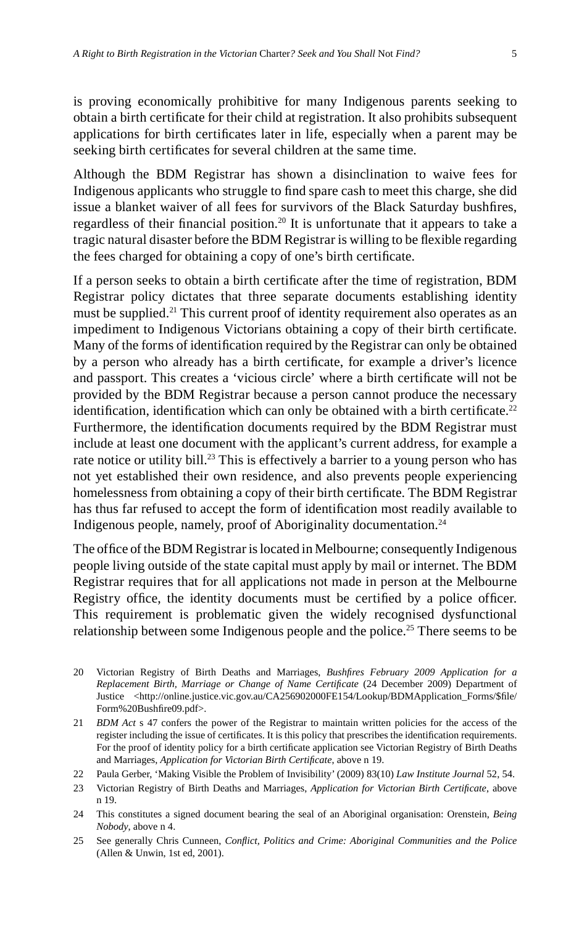is proving economically prohibitive for many Indigenous parents seeking to obtain a birth certificate for their child at registration. It also prohibits subsequent applications for birth certificates later in life, especially when a parent may be seeking birth certificates for several children at the same time.

Although the BDM Registrar has shown a disinclination to waive fees for Indigenous applicants who struggle to find spare cash to meet this charge, she did issue a blanket waiver of all fees for survivors of the Black Saturday bushfires, regardless of their financial position.<sup>20</sup> It is unfortunate that it appears to take a tragic natural disaster before the BDM Registrar is willing to be flexible regarding the fees charged for obtaining a copy of one's birth certificate.

If a person seeks to obtain a birth certificate after the time of registration, BDM Registrar policy dictates that three separate documents establishing identity must be supplied.<sup>21</sup> This current proof of identity requirement also operates as an impediment to Indigenous Victorians obtaining a copy of their birth certificate. Many of the forms of identification required by the Registrar can only be obtained by a person who already has a birth certificate, for example a driver's licence and passport. This creates a 'vicious circle' where a birth certificate will not be provided by the BDM Registrar because a person cannot produce the necessary identification, identification which can only be obtained with a birth certificate.<sup>22</sup> Furthermore, the identification documents required by the BDM Registrar must include at least one document with the applicant's current address, for example a rate notice or utility bill.<sup>23</sup> This is effectively a barrier to a young person who has not yet established their own residence, and also prevents people experiencing homelessness from obtaining a copy of their birth certificate. The BDM Registrar has thus far refused to accept the form of identification most readily available to Indigenous people, namely, proof of Aboriginality documentation.24

The office of the BDM Registrar is located in Melbourne; consequently Indigenous people living outside of the state capital must apply by mail or internet. The BDM Registrar requires that for all applications not made in person at the Melbourne Registry office, the identity documents must be certified by a police officer. This requirement is problematic given the widely recognised dysfunctional relationship between some Indigenous people and the police.<sup>25</sup> There seems to be

- 20 Victorian Registry of Birth Deaths and Marriages, *Bushfi res February 2009 Application for a Replacement Birth, Marriage or Change of Name Certificate* (24 December 2009) Department of Justice <http://online.justice.vic.gov.au/CA256902000FE154/Lookup/BDMApplication\_Forms/\$file/ Form%20Bushfire09.pdf>.
- 21 *BDM Act* s 47 confers the power of the Registrar to maintain written policies for the access of the register including the issue of certificates. It is this policy that prescribes the identification requirements. For the proof of identity policy for a birth certificate application see Victorian Registry of Birth Deaths and Marriages, *Application for Victorian Birth Certificate*, above n 19.
- 22 Paula Gerber, 'Making Visible the Problem of Invisibility' (2009) 83(10) *Law Institute Journal* 52, 54.
- 23 Victorian Registry of Birth Deaths and Marriages, *Application for Victorian Birth Certificate*, above n 19.
- 24 This constitutes a signed document bearing the seal of an Aboriginal organisation: Orenstein, *Being Nobody*, above n 4.
- 25 See generally Chris Cunneen, *Confl ict, Politics and Crime: Aboriginal Communities and the Police* (Allen & Unwin, 1st ed, 2001).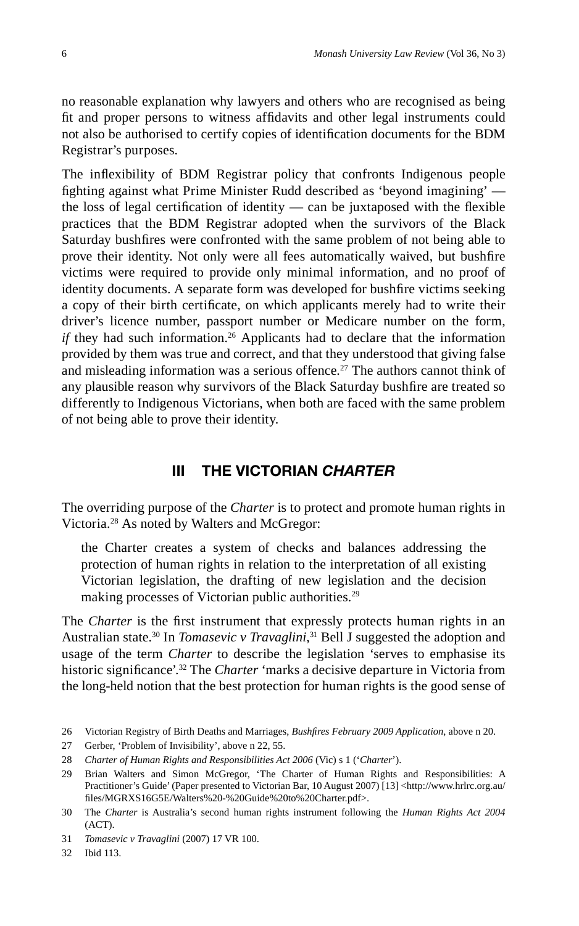no reasonable explanation why lawyers and others who are recognised as being fit and proper persons to witness affidavits and other legal instruments could not also be authorised to certify copies of identification documents for the BDM Registrar's purposes.

The inflexibility of BDM Registrar policy that confronts Indigenous people fighting against what Prime Minister Rudd described as 'beyond imagining' the loss of legal certification of identity — can be juxtaposed with the flexible practices that the BDM Registrar adopted when the survivors of the Black Saturday bushfires were confronted with the same problem of not being able to prove their identity. Not only were all fees automatically waived, but bushfire victims were required to provide only minimal information, and no proof of identity documents. A separate form was developed for bushfire victims seeking a copy of their birth certificate, on which applicants merely had to write their driver's licence number, passport number or Medicare number on the form, *if* they had such information.<sup>26</sup> Applicants had to declare that the information provided by them was true and correct, and that they understood that giving false and misleading information was a serious offence.<sup>27</sup> The authors cannot think of any plausible reason why survivors of the Black Saturday bushfire are treated so differently to Indigenous Victorians, when both are faced with the same problem of not being able to prove their identity.

## **III THE VICTORIAN** *CHARTER*

The overriding purpose of the *Charter* is to protect and promote human rights in Victoria.28 As noted by Walters and McGregor:

the Charter creates a system of checks and balances addressing the protection of human rights in relation to the interpretation of all existing Victorian legislation, the drafting of new legislation and the decision making processes of Victorian public authorities.<sup>29</sup>

The *Charter* is the first instrument that expressly protects human rights in an Australian state.<sup>30</sup> In *Tomasevic v Travaglini*,<sup>31</sup> Bell J suggested the adoption and usage of the term *Charter* to describe the legislation 'serves to emphasise its historic significance<sup>'.32</sup> The *Charter* 'marks a decisive departure in Victoria from the long-held notion that the best protection for human rights is the good sense of

27 Gerber, 'Problem of Invisibility', above n 22, 55.

<sup>26</sup> Victorian Registry of Birth Deaths and Marriages, *Bushfi res February 2009 Application*, above n 20.

<sup>28</sup> *Charter of Human Rights and Responsibilities Act 2006* (Vic) s 1 ('*Charter*').

<sup>29</sup> Brian Walters and Simon McGregor, 'The Charter of Human Rights and Responsibilities: A Practitioner's Guide' (Paper presented to Victorian Bar, 10 August 2007) [13] <http://www.hrlrc.org.au/ fi les/MGRXS16G5E/Walters%20-%20Guide%20to%20Charter.pdf>.

<sup>30</sup> The *Charter* is Australia's second human rights instrument following the *Human Rights Act 2004* (ACT).

<sup>31</sup> *Tomasevic v Travaglini* (2007) 17 VR 100.

<sup>32</sup> Ibid 113.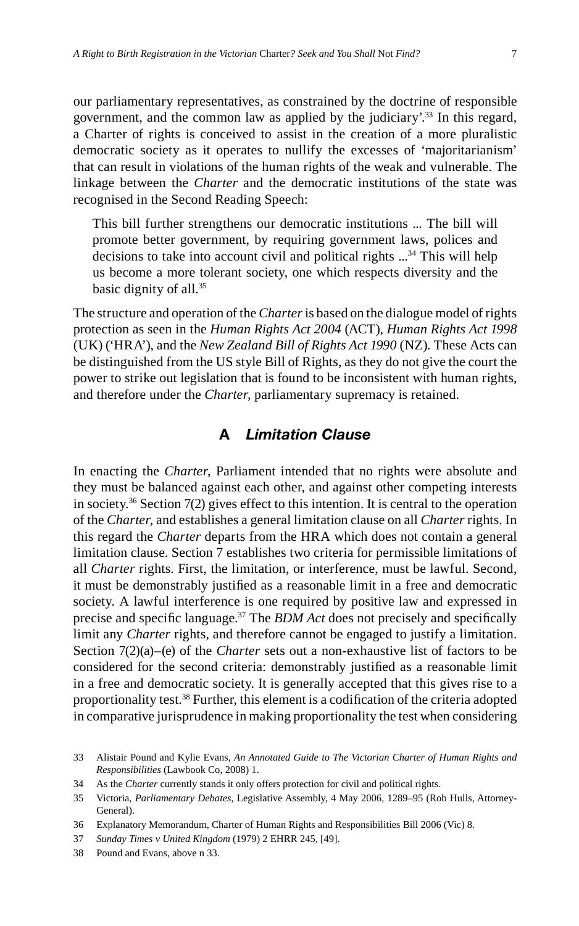our parliamentary representatives, as constrained by the doctrine of responsible government, and the common law as applied by the judiciary'.33 In this regard, a Charter of rights is conceived to assist in the creation of a more pluralistic democratic society as it operates to nullify the excesses of 'majoritarianism' that can result in violations of the human rights of the weak and vulnerable. The linkage between the *Charter* and the democratic institutions of the state was recognised in the Second Reading Speech:

This bill further strengthens our democratic institutions ... The bill will promote better government, by requiring government laws, polices and decisions to take into account civil and political rights ...<sup>34</sup> This will help us become a more tolerant society, one which respects diversity and the basic dignity of all.35

The structure and operation of the *Charter* is based on the dialogue model of rights protection as seen in the *Human Rights Act 2004* (ACT), *Human Rights Act 1998* (UK) ('HRA'), and the *New Zealand Bill of Rights Act 1990* (NZ). These Acts can be distinguished from the US style Bill of Rights, as they do not give the court the power to strike out legislation that is found to be inconsistent with human rights, and therefore under the *Charter*, parliamentary supremacy is retained.

# **A** *Limitation Clause*

In enacting the *Charter*, Parliament intended that no rights were absolute and they must be balanced against each other, and against other competing interests in society.<sup>36</sup> Section  $7(2)$  gives effect to this intention. It is central to the operation of the *Charter*, and establishes a general limitation clause on all *Charter* rights. In this regard the *Charter* departs from the HRA which does not contain a general limitation clause. Section 7 establishes two criteria for permissible limitations of all *Charter* rights. First, the limitation, or interference, must be lawful. Second, it must be demonstrably justified as a reasonable limit in a free and democratic society. A lawful interference is one required by positive law and expressed in precise and specific language.<sup>37</sup> The *BDM Act* does not precisely and specifically limit any *Charter* rights, and therefore cannot be engaged to justify a limitation. Section 7(2)(a)–(e) of the *Charter* sets out a non-exhaustive list of factors to be considered for the second criteria: demonstrably justified as a reasonable limit in a free and democratic society. It is generally accepted that this gives rise to a proportionality test.<sup>38</sup> Further, this element is a codification of the criteria adopted in comparative jurisprudence in making proportionality the test when considering

<sup>33</sup> Alistair Pound and Kylie Evans, *An Annotated Guide to The Victorian Charter of Human Rights and Responsibilities* (Lawbook Co, 2008) 1.

<sup>34</sup> As the *Charter* currently stands it only offers protection for civil and political rights.

<sup>35</sup> Victoria, *Parliamentary Debates*, Legislative Assembly, 4 May 2006, 1289–95 (Rob Hulls, Attorney-General).

<sup>36</sup> Explanatory Memorandum, Charter of Human Rights and Responsibilities Bill 2006 (Vic) 8.

<sup>37</sup> *Sunday Times v United Kingdom* (1979) 2 EHRR 245, [49].

<sup>38</sup> Pound and Evans, above n 33.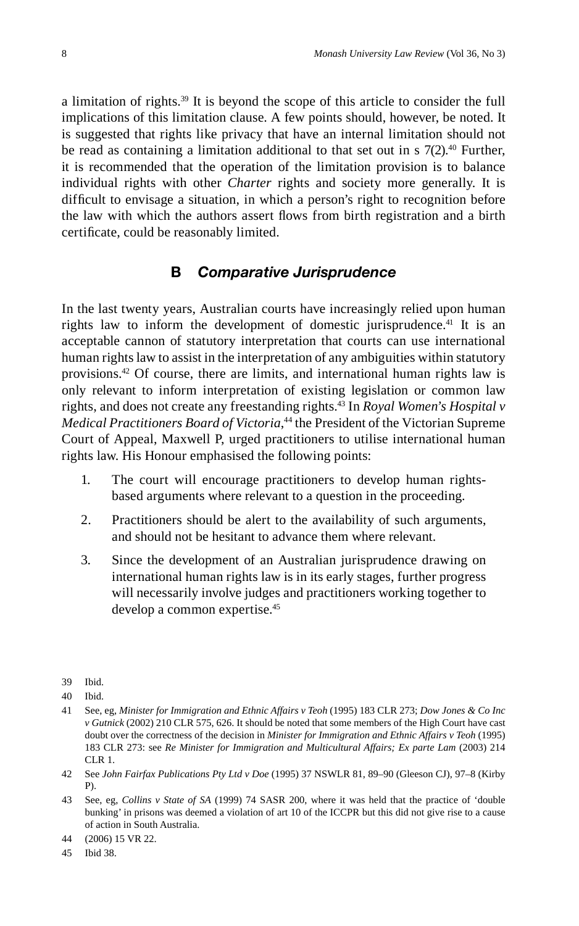a limitation of rights.39 It is beyond the scope of this article to consider the full implications of this limitation clause. A few points should, however, be noted. It is suggested that rights like privacy that have an internal limitation should not be read as containing a limitation additional to that set out in s  $7(2).40$  Further, it is recommended that the operation of the limitation provision is to balance individual rights with other *Charter* rights and society more generally. It is difficult to envisage a situation, in which a person's right to recognition before the law with which the authors assert flows from birth registration and a birth certificate, could be reasonably limited.

#### **B** *Comparative Jurisprudence*

In the last twenty years, Australian courts have increasingly relied upon human rights law to inform the development of domestic jurisprudence.<sup>41</sup> It is an acceptable cannon of statutory interpretation that courts can use international human rights law to assist in the interpretation of any ambiguities within statutory provisions.42 Of course, there are limits, and international human rights law is only relevant to inform interpretation of existing legislation or common law rights, and does not create any freestanding rights.43 In *Royal Women's Hospital v Medical Practitioners Board of Victoria*, 44 the President of the Victorian Supreme Court of Appeal, Maxwell P, urged practitioners to utilise international human rights law. His Honour emphasised the following points:

- 1. The court will encourage practitioners to develop human rightsbased arguments where relevant to a question in the proceeding.
- 2. Practitioners should be alert to the availability of such arguments, and should not be hesitant to advance them where relevant.
- 3. Since the development of an Australian jurisprudence drawing on international human rights law is in its early stages, further progress will necessarily involve judges and practitioners working together to develop a common expertise.45

45 Ibid 38.

<sup>39</sup> Ibid.

<sup>40</sup> Ibid.

<sup>41</sup> See, eg, *Minister for Immigration and Ethnic Affairs v Teoh* (1995) 183 CLR 273; *Dow Jones & Co Inc v Gutnick* (2002) 210 CLR 575, 626. It should be noted that some members of the High Court have cast doubt over the correctness of the decision in *Minister for Immigration and Ethnic Affairs v Teoh* (1995) 183 CLR 273: see *Re Minister for Immigration and Multicultural Affairs; Ex parte Lam* (2003) 214 CLR 1.

<sup>42</sup> See *John Fairfax Publications Pty Ltd v Doe* (1995) 37 NSWLR 81, 89–90 (Gleeson CJ), 97–8 (Kirby P).

<sup>43</sup> See, eg, *Collins v State of SA* (1999) 74 SASR 200, where it was held that the practice of 'double bunking' in prisons was deemed a violation of art 10 of the ICCPR but this did not give rise to a cause of action in South Australia.

<sup>44 (2006) 15</sup> VR 22.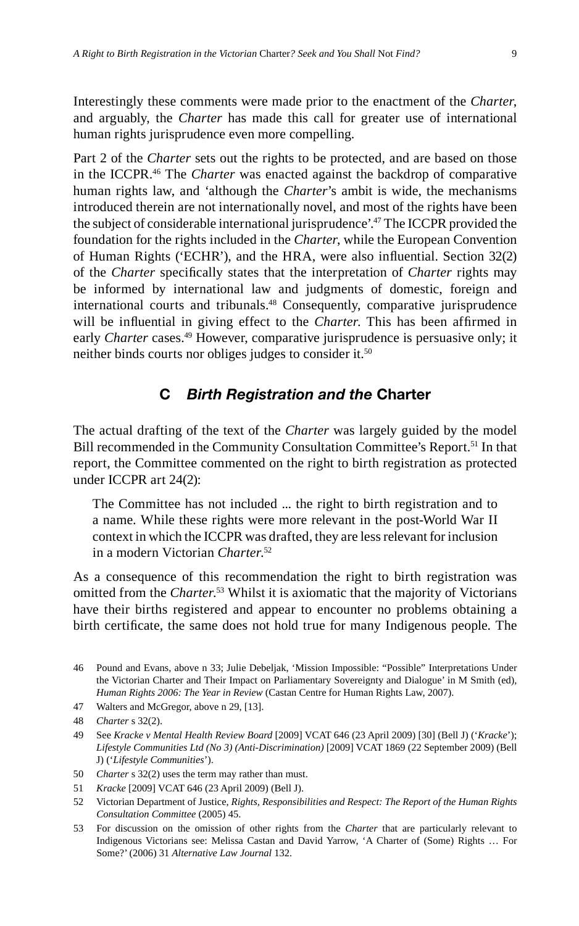Interestingly these comments were made prior to the enactment of the *Charter*, and arguably, the *Charter* has made this call for greater use of international human rights jurisprudence even more compelling.

Part 2 of the *Charter* sets out the rights to be protected, and are based on those in the ICCPR.46 The *Charter* was enacted against the backdrop of comparative human rights law, and 'although the *Charter*'s ambit is wide, the mechanisms introduced therein are not internationally novel, and most of the rights have been the subject of considerable international jurisprudence'.47 The ICCPR provided the foundation for the rights included in the *Charter*, while the European Convention of Human Rights ('ECHR'), and the HRA, were also influential. Section 32(2) of the *Charter* specifically states that the interpretation of *Charter* rights may be informed by international law and judgments of domestic, foreign and international courts and tribunals.<sup>48</sup> Consequently, comparative jurisprudence will be influential in giving effect to the *Charter*. This has been affirmed in early *Charter* cases.<sup>49</sup> However, comparative jurisprudence is persuasive only; it neither binds courts nor obliges judges to consider it.<sup>50</sup>

#### **C** *Birth Registration and the* **Charter**

The actual drafting of the text of the *Charter* was largely guided by the model Bill recommended in the Community Consultation Committee's Report.<sup>51</sup> In that report, the Committee commented on the right to birth registration as protected under ICCPR art 24(2):

The Committee has not included ... the right to birth registration and to a name. While these rights were more relevant in the post-World War II context in which the ICCPR was drafted, they are less relevant for inclusion in a modern Victorian *Charter*. 52

As a consequence of this recommendation the right to birth registration was omitted from the *Charter*. 53 Whilst it is axiomatic that the majority of Victorians have their births registered and appear to encounter no problems obtaining a birth certificate, the same does not hold true for many Indigenous people. The

47 Walters and McGregor, above n 29, [13].

- 49 See *Kracke v Mental Health Review Board* [2009] VCAT 646 (23 April 2009) [30] (Bell J) ('*Kracke*'); *Lifestyle Communities Ltd (No 3) (Anti-Discrimination)* [2009] VCAT 1869 (22 September 2009) (Bell J) ('*Lifestyle Communities*').
- 50 *Charter* s 32(2) uses the term may rather than must.
- 51 *Kracke* [2009] VCAT 646 (23 April 2009) (Bell J).
- 52 Victorian Department of Justice, *Rights, Responsibilities and Respect: The Report of the Human Rights Consultation Committee* (2005) 45.
- 53 For discussion on the omission of other rights from the *Charter* that are particularly relevant to Indigenous Victorians see: Melissa Castan and David Yarrow, 'A Charter of (Some) Rights … For Some?' (2006) 31 *Alternative Law Journal* 132.

<sup>46</sup> Pound and Evans, above n 33; Julie Debeljak, 'Mission Impossible: "Possible" Interpretations Under the Victorian Charter and Their Impact on Parliamentary Sovereignty and Dialogue' in M Smith (ed), *Human Rights 2006: The Year in Review* (Castan Centre for Human Rights Law, 2007).

<sup>48</sup> *Charter* s 32(2).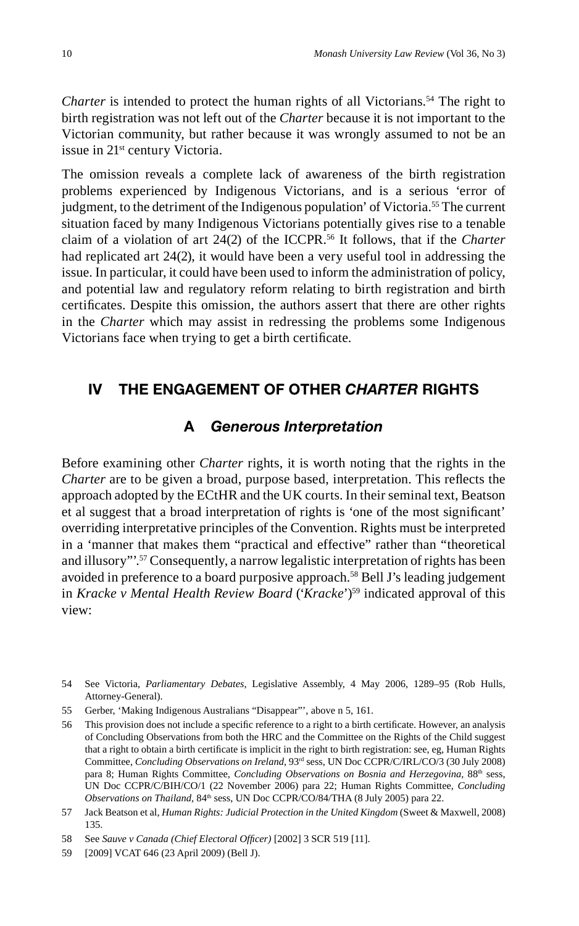*Charter* is intended to protect the human rights of all Victorians.<sup>54</sup> The right to birth registration was not left out of the *Charter* because it is not important to the Victorian community, but rather because it was wrongly assumed to not be an issue in 21<sup>st</sup> century Victoria.

The omission reveals a complete lack of awareness of the birth registration problems experienced by Indigenous Victorians, and is a serious 'error of judgment, to the detriment of the Indigenous population' of Victoria.55 The current situation faced by many Indigenous Victorians potentially gives rise to a tenable claim of a violation of art 24(2) of the ICCPR.56 It follows, that if the *Charter* had replicated art 24(2), it would have been a very useful tool in addressing the issue. In particular, it could have been used to inform the administration of policy, and potential law and regulatory reform relating to birth registration and birth certificates. Despite this omission, the authors assert that there are other rights in the *Charter* which may assist in redressing the problems some Indigenous Victorians face when trying to get a birth certificate.

## **IV THE ENGAGEMENT OF OTHER** *CHARTER* **RIGHTS**

#### **A** *Generous Interpretation*

Before examining other *Charter* rights, it is worth noting that the rights in the *Charter* are to be given a broad, purpose based, interpretation. This reflects the approach adopted by the ECtHR and the UK courts. In their seminal text, Beatson et al suggest that a broad interpretation of rights is 'one of the most significant' overriding interpretative principles of the Convention. Rights must be interpreted in a 'manner that makes them "practical and effective" rather than "theoretical and illusory"'.57 Consequently, a narrow legalistic interpretation of rights has been avoided in preference to a board purposive approach.<sup>58</sup> Bell J's leading judgement in *Kracke v Mental Health Review Board* ('*Kracke*')59 indicated approval of this view:

<sup>54</sup> See Victoria, *Parliamentary Debates*, Legislative Assembly, 4 May 2006, 1289–95 (Rob Hulls, Attorney-General).

<sup>55</sup> Gerber, 'Making Indigenous Australians "Disappear"', above n 5, 161.

<sup>56</sup> This provision does not include a specific reference to a right to a birth certificate. However, an analysis of Concluding Observations from both the HRC and the Committee on the Rights of the Child suggest that a right to obtain a birth certificate is implicit in the right to birth registration: see, eg, Human Rights Committee, *Concluding Observations on Ireland*, 93rd sess, UN Doc CCPR/C/IRL/CO/3 (30 July 2008) para 8; Human Rights Committee, *Concluding Observations on Bosnia and Herzegovina*, 88<sup>th</sup> sess, UN Doc CCPR/C/BIH/CO/1 (22 November 2006) para 22; Human Rights Committee, *Concluding Observations on Thailand, 84<sup>th</sup> sess, UN Doc CCPR/CO/84/THA (8 July 2005) para 22.* 

<sup>57</sup> Jack Beatson et al, *Human Rights: Judicial Protection in the United Kingdom* (Sweet & Maxwell, 2008) 135.

<sup>58</sup> See *Sauve v Canada (Chief Electoral Offi cer)* [2002] 3 SCR 519 [11].

<sup>59 [2009]</sup> VCAT 646 (23 April 2009) (Bell J).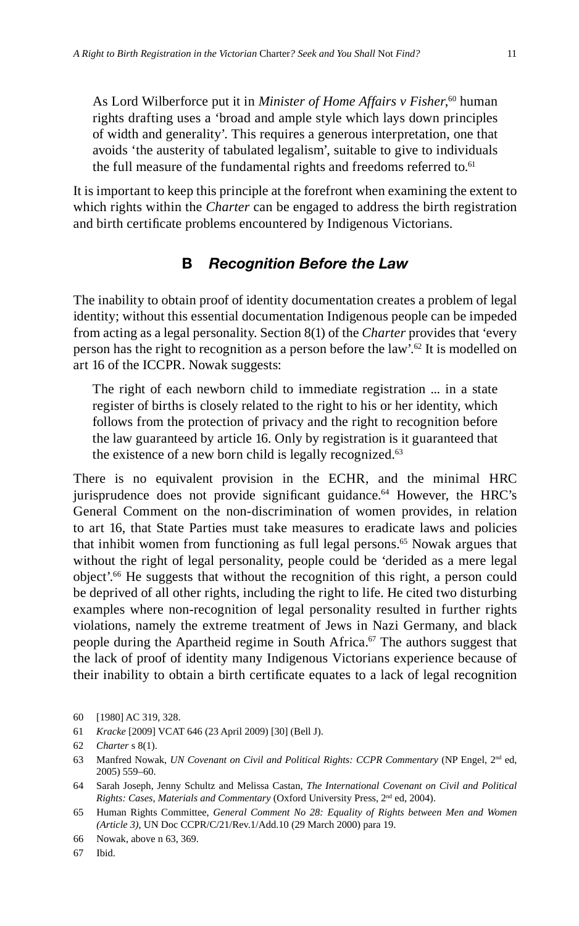As Lord Wilberforce put it in *Minister of Home Affairs v Fisher*, 60 human rights drafting uses a 'broad and ample style which lays down principles of width and generality'. This requires a generous interpretation, one that avoids 'the austerity of tabulated legalism', suitable to give to individuals the full measure of the fundamental rights and freedoms referred to.<sup>61</sup>

It is important to keep this principle at the forefront when examining the extent to which rights within the *Charter* can be engaged to address the birth registration and birth certificate problems encountered by Indigenous Victorians.

# **B** *Recognition Before the Law*

The inability to obtain proof of identity documentation creates a problem of legal identity; without this essential documentation Indigenous people can be impeded from acting as a legal personality. Section 8(1) of the *Charter* provides that 'every person has the right to recognition as a person before the law'.62 It is modelled on art 16 of the ICCPR. Nowak suggests:

The right of each newborn child to immediate registration ... in a state register of births is closely related to the right to his or her identity, which follows from the protection of privacy and the right to recognition before the law guaranteed by article 16. Only by registration is it guaranteed that the existence of a new born child is legally recognized.<sup>63</sup>

There is no equivalent provision in the ECHR, and the minimal HRC jurisprudence does not provide significant guidance.<sup>64</sup> However, the HRC's General Comment on the non-discrimination of women provides, in relation to art 16, that State Parties must take measures to eradicate laws and policies that inhibit women from functioning as full legal persons.<sup>65</sup> Nowak argues that without the right of legal personality, people could be 'derided as a mere legal object'.66 He suggests that without the recognition of this right, a person could be deprived of all other rights, including the right to life. He cited two disturbing examples where non-recognition of legal personality resulted in further rights violations, namely the extreme treatment of Jews in Nazi Germany, and black people during the Apartheid regime in South Africa.<sup>67</sup> The authors suggest that the lack of proof of identity many Indigenous Victorians experience because of their inability to obtain a birth certificate equates to a lack of legal recognition

67 Ibid.

<sup>60 [1980]</sup> AC 319, 328.

<sup>61</sup> *Kracke* [2009] VCAT 646 (23 April 2009) [30] (Bell J).

<sup>62</sup> *Charter* s 8(1).

<sup>63</sup> Manfred Nowak, *UN Covenant on Civil and Political Rights: CCPR Commentary* (NP Engel, 2nd ed, 2005) 559–60.

<sup>64</sup> Sarah Joseph, Jenny Schultz and Melissa Castan, *The International Covenant on Civil and Political Rights: Cases, Materials and Commentary* (Oxford University Press, 2nd ed, 2004).

<sup>65</sup> Human Rights Committee, *General Comment No 28: Equality of Rights between Men and Women (Article 3)*, UN Doc CCPR/C/21/Rev.1/Add.10 (29 March 2000) para 19.

<sup>66</sup> Nowak, above n 63, 369.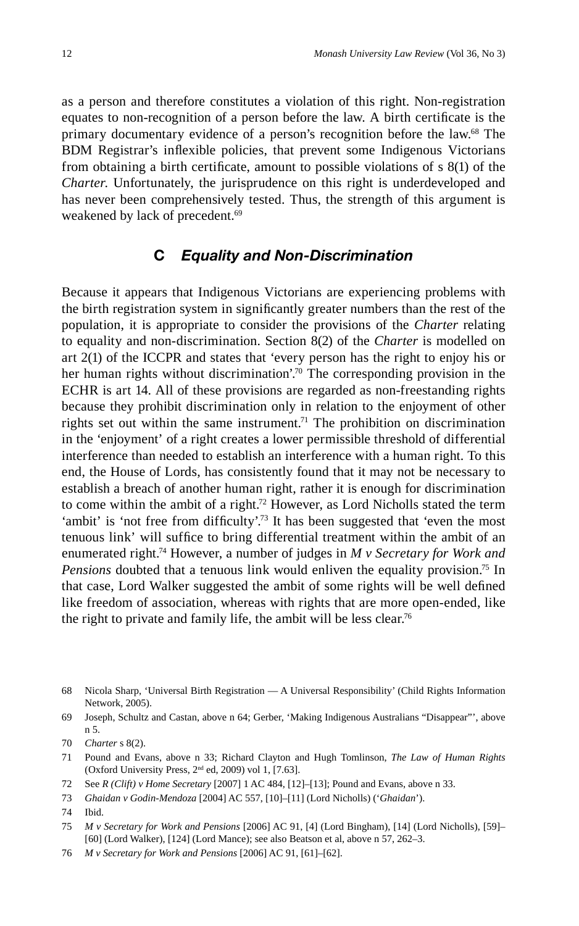as a person and therefore constitutes a violation of this right. Non-registration equates to non-recognition of a person before the law. A birth certificate is the primary documentary evidence of a person's recognition before the law.68 The BDM Registrar's inflexible policies, that prevent some Indigenous Victorians from obtaining a birth certificate, amount to possible violations of  $s \ 8(1)$  of the *Charter*. Unfortunately, the jurisprudence on this right is underdeveloped and has never been comprehensively tested. Thus, the strength of this argument is weakened by lack of precedent.<sup>69</sup>

#### **C** *Equality and Non-Discrimination*

Because it appears that Indigenous Victorians are experiencing problems with the birth registration system in significantly greater numbers than the rest of the population, it is appropriate to consider the provisions of the *Charter* relating to equality and non-discrimination. Section 8(2) of the *Charter* is modelled on art 2(1) of the ICCPR and states that 'every person has the right to enjoy his or her human rights without discrimination'.<sup>70</sup> The corresponding provision in the ECHR is art 14. All of these provisions are regarded as non-freestanding rights because they prohibit discrimination only in relation to the enjoyment of other rights set out within the same instrument.<sup>71</sup> The prohibition on discrimination in the 'enjoyment' of a right creates a lower permissible threshold of differential interference than needed to establish an interference with a human right. To this end, the House of Lords, has consistently found that it may not be necessary to establish a breach of another human right, rather it is enough for discrimination to come within the ambit of a right.<sup>72</sup> However, as Lord Nicholls stated the term 'ambit' is 'not free from difficulty'.<sup>73</sup> It has been suggested that 'even the most tenuous link' will suffice to bring differential treatment within the ambit of an enumerated right.74 However, a number of judges in *M v Secretary for Work and Pensions* doubted that a tenuous link would enliven the equality provision.<sup>75</sup> In that case, Lord Walker suggested the ambit of some rights will be well defined like freedom of association, whereas with rights that are more open-ended, like the right to private and family life, the ambit will be less clear.<sup>76</sup>

71 Pound and Evans, above n 33; Richard Clayton and Hugh Tomlinson, *The Law of Human Rights*  (Oxford University Press,  $2<sup>nd</sup>$  ed, 2009) vol 1, [7.63].

<sup>68</sup> Nicola Sharp, 'Universal Birth Registration — A Universal Responsibility' (Child Rights Information Network, 2005).

<sup>69</sup> Joseph, Schultz and Castan, above n 64; Gerber, 'Making Indigenous Australians "Disappear"', above n 5.

<sup>70</sup> *Charter* s 8(2).

<sup>72</sup> See *R (Clift) v Home Secretary* [2007] 1 AC 484, [12]–[13]; Pound and Evans, above n 33.

<sup>73</sup> *Ghaidan v Godin-Mendoza* [2004] AC 557, [10]–[11] (Lord Nicholls) ('*Ghaidan*').

<sup>74</sup> Ibid.

<sup>75</sup> *M v Secretary for Work and Pensions* [2006] AC 91, [4] (Lord Bingham), [14] (Lord Nicholls), [59]– [60] (Lord Walker), [124] (Lord Mance); see also Beatson et al, above n 57, 262–3.

<sup>76</sup> *M v Secretary for Work and Pensions* [2006] AC 91, [61]–[62].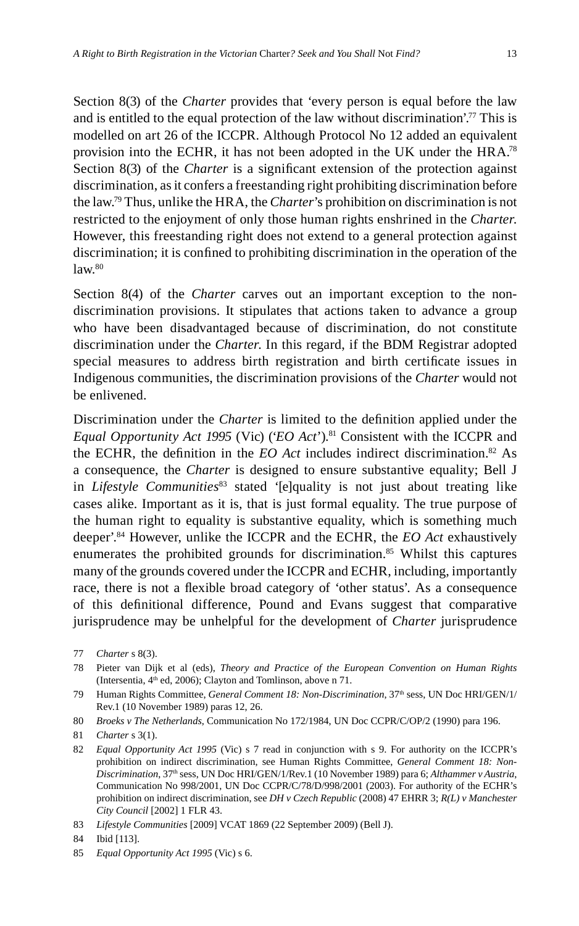Section 8(3) of the *Charter* provides that 'every person is equal before the law and is entitled to the equal protection of the law without discrimination'.<sup>77</sup> This is modelled on art 26 of the ICCPR. Although Protocol No 12 added an equivalent provision into the ECHR, it has not been adopted in the UK under the HRA.78 Section 8(3) of the *Charter* is a significant extension of the protection against discrimination, as it confers a freestanding right prohibiting discrimination before the law.79 Thus, unlike the HRA, the *Charter*'s prohibition on discrimination is not restricted to the enjoyment of only those human rights enshrined in the *Charter*. However, this freestanding right does not extend to a general protection against discrimination; it is confined to prohibiting discrimination in the operation of the  $law<sub>80</sub>$ 

Section 8(4) of the *Charter* carves out an important exception to the nondiscrimination provisions. It stipulates that actions taken to advance a group who have been disadvantaged because of discrimination, do not constitute discrimination under the *Charter*. In this regard, if the BDM Registrar adopted special measures to address birth registration and birth certificate issues in Indigenous communities, the discrimination provisions of the *Charter* would not be enlivened.

Discrimination under the *Charter* is limited to the definition applied under the *Equal Opportunity Act 1995* (Vic) (*'EO Act'*).<sup>81</sup> Consistent with the ICCPR and the ECHR, the definition in the  $EO$  Act includes indirect discrimination.<sup>82</sup> As a consequence, the *Charter* is designed to ensure substantive equality; Bell J in *Lifestyle Communities*<sup>83</sup> stated '[e]quality is not just about treating like cases alike. Important as it is, that is just formal equality. The true purpose of the human right to equality is substantive equality, which is something much deeper'.84 However, unlike the ICCPR and the ECHR, the *EO Act* exhaustively enumerates the prohibited grounds for discrimination.<sup>85</sup> Whilst this captures many of the grounds covered under the ICCPR and ECHR, including, importantly race, there is not a flexible broad category of 'other status'. As a consequence of this definitional difference, Pound and Evans suggest that comparative jurisprudence may be unhelpful for the development of *Charter* jurisprudence

78 Pieter van Dijk et al (eds), *Theory and Practice of the European Convention on Human Rights* (Intersentia, 4<sup>th</sup> ed, 2006); Clayton and Tomlinson, above n 71.

<sup>77</sup> *Charter* s 8(3).

<sup>79</sup> Human Rights Committee, *General Comment 18: Non-Discrimination*, 37th sess, UN Doc HRI/GEN/1/ Rev.1 (10 November 1989) paras 12, 26.

<sup>80</sup> *Broeks v The Netherlands*, Communication No 172/1984, UN Doc CCPR/C/OP/2 (1990) para 196.

<sup>81</sup> *Charter* s 3(1).

<sup>82</sup> *Equal Opportunity Act 1995* (Vic) s 7 read in conjunction with s 9. For authority on the ICCPR's prohibition on indirect discrimination, see Human Rights Committee, *General Comment 18: Non-Discrimination*, 37th sess, UN Doc HRI/GEN/1/Rev.1 (10 November 1989) para 6; *Althammer v Austria*, Communication No 998/2001, UN Doc CCPR/C/78/D/998/2001 (2003). For authority of the ECHR's prohibition on indirect discrimination, see *DH v Czech Republic* (2008) 47 EHRR 3; *R(L) v Manchester City Council* [2002] 1 FLR 43.

<sup>83</sup> *Lifestyle Communities* [2009] VCAT 1869 (22 September 2009) (Bell J).

<sup>84</sup> Ibid [113].

<sup>85</sup> *Equal Opportunity Act 1995* (Vic) s 6.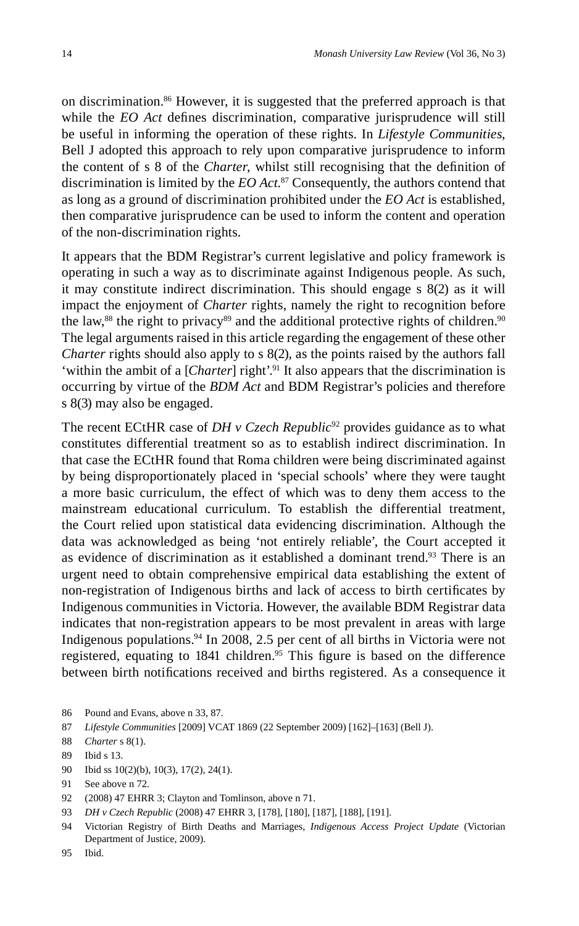on discrimination.86 However, it is suggested that the preferred approach is that while the *EO Act* defines discrimination, comparative jurisprudence will still be useful in informing the operation of these rights. In *Lifestyle Communities*, Bell J adopted this approach to rely upon comparative jurisprudence to inform the content of s 8 of the *Charter*, whilst still recognising that the definition of discrimination is limited by the *EO Act*. 87 Consequently, the authors contend that as long as a ground of discrimination prohibited under the *EO Act* is established, then comparative jurisprudence can be used to inform the content and operation of the non-discrimination rights.

It appears that the BDM Registrar's current legislative and policy framework is operating in such a way as to discriminate against Indigenous people. As such, it may constitute indirect discrimination. This should engage s 8(2) as it will impact the enjoyment of *Charter* rights, namely the right to recognition before the law,<sup>88</sup> the right to privacy<sup>89</sup> and the additional protective rights of children.<sup>90</sup> The legal arguments raised in this article regarding the engagement of these other *Charter* rights should also apply to s 8(2), as the points raised by the authors fall 'within the ambit of a [*Charter*] right'.<sup>91</sup> It also appears that the discrimination is occurring by virtue of the *BDM Act* and BDM Registrar's policies and therefore s 8(3) may also be engaged.

The recent ECtHR case of *DH v Czech Republic*<sup>92</sup> provides guidance as to what constitutes differential treatment so as to establish indirect discrimination. In that case the ECtHR found that Roma children were being discriminated against by being disproportionately placed in 'special schools' where they were taught a more basic curriculum, the effect of which was to deny them access to the mainstream educational curriculum. To establish the differential treatment, the Court relied upon statistical data evidencing discrimination. Although the data was acknowledged as being 'not entirely reliable', the Court accepted it as evidence of discrimination as it established a dominant trend.<sup>93</sup> There is an urgent need to obtain comprehensive empirical data establishing the extent of non-registration of Indigenous births and lack of access to birth certificates by Indigenous communities in Victoria. However, the available BDM Registrar data indicates that non-registration appears to be most prevalent in areas with large Indigenous populations.94 In 2008, 2.5 per cent of all births in Victoria were not registered, equating to 1841 children.<sup>95</sup> This figure is based on the difference between birth notifications received and births registered. As a consequence it

- 86 Pound and Evans, above n 33, 87.
- 87 *Lifestyle Communities* [2009] VCAT 1869 (22 September 2009) [162]–[163] (Bell J).
- 88 *Charter* s 8(1).
- 89 Ibid s 13.
- 90 Ibid ss 10(2)(b), 10(3), 17(2), 24(1).

- 92 (2008) 47 EHRR 3; Clayton and Tomlinson, above n 71.
- 93 *DH v Czech Republic* (2008) 47 EHRR 3, [178], [180], [187], [188], [191].
- 94 Victorian Registry of Birth Deaths and Marriages, *Indigenous Access Project Update* (Victorian Department of Justice, 2009).

<sup>91</sup> See above n 72.

<sup>95</sup> Ibid.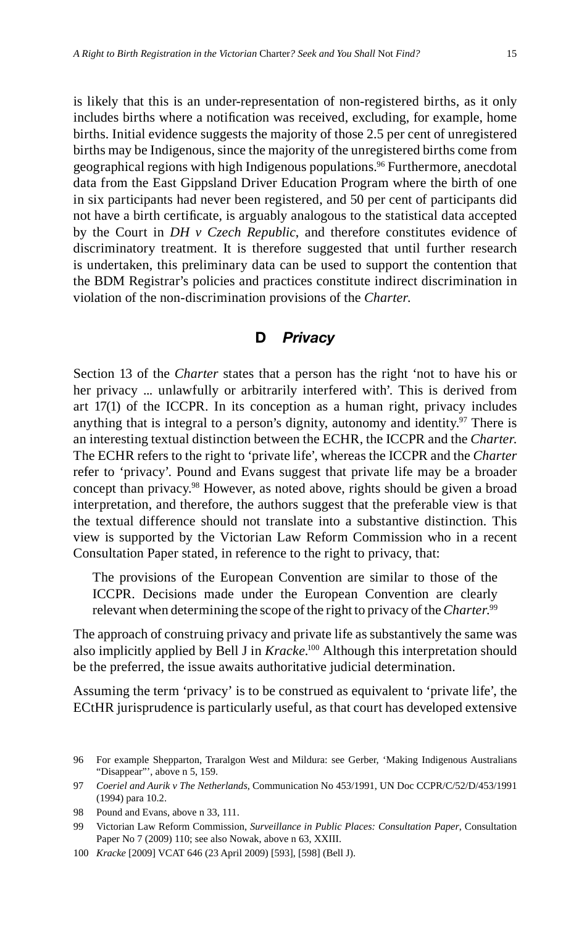is likely that this is an under-representation of non-registered births, as it only includes births where a notification was received, excluding, for example, home births. Initial evidence suggests the majority of those 2.5 per cent of unregistered births may be Indigenous, since the majority of the unregistered births come from geographical regions with high Indigenous populations.<sup>96</sup> Furthermore, anecdotal data from the East Gippsland Driver Education Program where the birth of one in six participants had never been registered, and 50 per cent of participants did not have a birth certificate, is arguably analogous to the statistical data accepted by the Court in *DH v Czech Republic*, and therefore constitutes evidence of discriminatory treatment. It is therefore suggested that until further research is undertaken, this preliminary data can be used to support the contention that the BDM Registrar's policies and practices constitute indirect discrimination in violation of the non-discrimination provisions of the *Charter.*

#### **D** *Privacy*

Section 13 of the *Charter* states that a person has the right 'not to have his or her privacy ... unlawfully or arbitrarily interfered with'. This is derived from art 17(1) of the ICCPR. In its conception as a human right, privacy includes anything that is integral to a person's dignity, autonomy and identity.<sup>97</sup> There is an interesting textual distinction between the ECHR, the ICCPR and the *Charter*. The ECHR refers to the right to 'private life', whereas the ICCPR and the *Charter* refer to 'privacy'. Pound and Evans suggest that private life may be a broader concept than privacy.98 However, as noted above, rights should be given a broad interpretation, and therefore, the authors suggest that the preferable view is that the textual difference should not translate into a substantive distinction. This view is supported by the Victorian Law Reform Commission who in a recent Consultation Paper stated, in reference to the right to privacy, that:

The provisions of the European Convention are similar to those of the ICCPR. Decisions made under the European Convention are clearly relevant when determining the scope of the right to privacy of the *Charter*. 99

The approach of construing privacy and private life as substantively the same was also implicitly applied by Bell J in *Kracke*. 100 Although this interpretation should be the preferred, the issue awaits authoritative judicial determination.

Assuming the term 'privacy' is to be construed as equivalent to 'private life', the ECtHR jurisprudence is particularly useful, as that court has developed extensive

<sup>96</sup> For example Shepparton, Traralgon West and Mildura: see Gerber, 'Making Indigenous Australians "Disappear"', above n 5, 159.

<sup>97</sup> *Coeriel and Aurik v The Netherlands*, Communication No 453/1991, UN Doc CCPR/C/52/D/453/1991 (1994) para 10.2.

<sup>98</sup> Pound and Evans, above n 33, 111.

<sup>99</sup> Victorian Law Reform Commission, *Surveillance in Public Places: Consultation Paper*, Consultation Paper No 7 (2009) 110; see also Nowak, above n 63, XXIII.

<sup>100</sup> *Kracke* [2009] VCAT 646 (23 April 2009) [593], [598] (Bell J).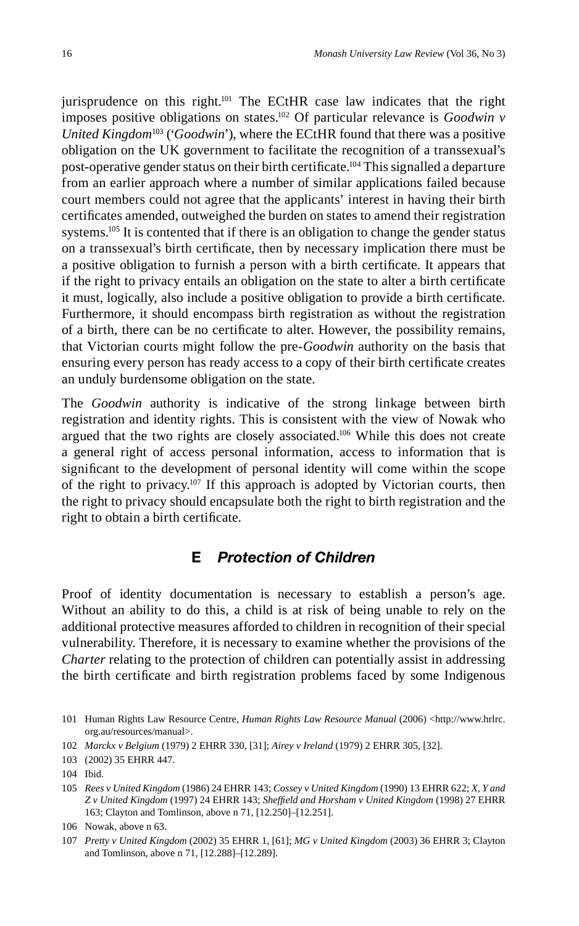jurisprudence on this right.<sup>101</sup> The ECtHR case law indicates that the right imposes positive obligations on states.102 Of particular relevance is *Goodwin v United Kingdom*<sup>103</sup> ('*Goodwin*'), where the ECtHR found that there was a positive obligation on the UK government to facilitate the recognition of a transsexual's post-operative gender status on their birth certificate.<sup>104</sup> This signalled a departure from an earlier approach where a number of similar applications failed because court members could not agree that the applicants' interest in having their birth certificates amended, outweighed the burden on states to amend their registration systems.<sup>105</sup> It is contented that if there is an obligation to change the gender status on a transsexual's birth certificate, then by necessary implication there must be a positive obligation to furnish a person with a birth certificate. It appears that if the right to privacy entails an obligation on the state to alter a birth certificate it must, logically, also include a positive obligation to provide a birth certificate. Furthermore, it should encompass birth registration as without the registration of a birth, there can be no certificate to alter. However, the possibility remains, that Victorian courts might follow the pre-*Goodwin* authority on the basis that ensuring every person has ready access to a copy of their birth certificate creates an unduly burdensome obligation on the state.

The *Goodwin* authority is indicative of the strong linkage between birth registration and identity rights. This is consistent with the view of Nowak who argued that the two rights are closely associated.106 While this does not create a general right of access personal information, access to information that is significant to the development of personal identity will come within the scope of the right to privacy.107 If this approach is adopted by Victorian courts, then the right to privacy should encapsulate both the right to birth registration and the right to obtain a birth certificate.

## **E** *Protection of Children*

Proof of identity documentation is necessary to establish a person's age. Without an ability to do this, a child is at risk of being unable to rely on the additional protective measures afforded to children in recognition of their special vulnerability. Therefore, it is necessary to examine whether the provisions of the *Charter* relating to the protection of children can potentially assist in addressing the birth certificate and birth registration problems faced by some Indigenous

<sup>101</sup> Human Rights Law Resource Centre, *Human Rights Law Resource Manual* (2006) <http://www.hrlrc. org.au/resources/manual>.

<sup>102</sup> *Marckx v Belgium* (1979) 2 EHRR 330, [31]; *Airey v Ireland* (1979) 2 EHRR 305, [32].

<sup>103 (2002) 35</sup> EHRR 447.

<sup>104</sup> Ibid.

<sup>105</sup> *Rees v United Kingdom* (1986) 24 EHRR 143; *Cossey v United Kingdom* (1990) 13 EHRR 622; *X, Y and Z v United Kingdom* (1997) 24 EHRR 143; *Sheffi eld and Horsham v United Kingdom* (1998) 27 EHRR 163; Clayton and Tomlinson, above n 71, [12.250]–[12.251].

<sup>106</sup> Nowak, above n 63.

<sup>107</sup> *Pretty v United Kingdom* (2002) 35 EHRR 1, [61]; *MG v United Kingdom* (2003) 36 EHRR 3; Clayton and Tomlinson, above n 71, [12.288]–[12.289].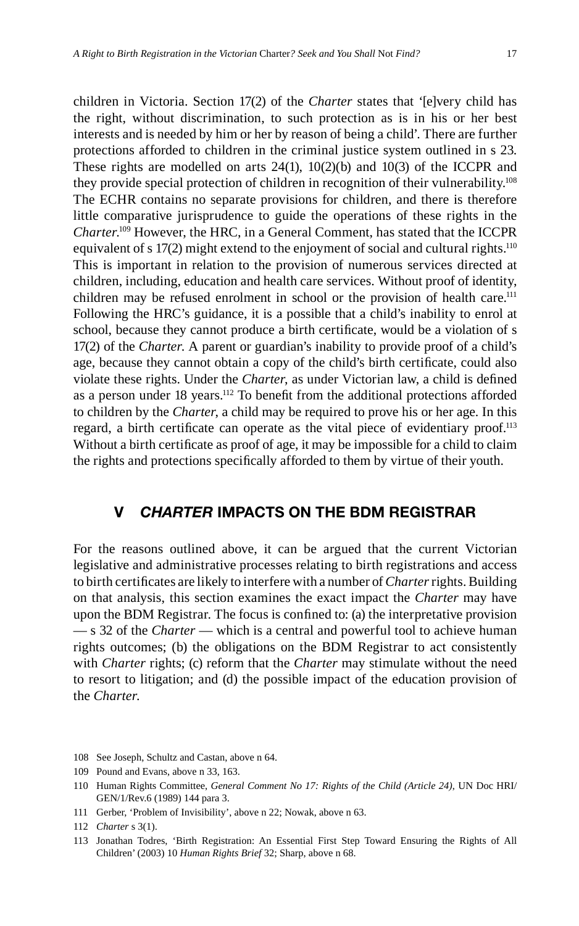children in Victoria. Section 17(2) of the *Charter* states that '[e]very child has the right, without discrimination, to such protection as is in his or her best interests and is needed by him or her by reason of being a child'. There are further protections afforded to children in the criminal justice system outlined in s 23. These rights are modelled on arts 24(1), 10(2)(b) and 10(3) of the ICCPR and they provide special protection of children in recognition of their vulnerability.108 The ECHR contains no separate provisions for children, and there is therefore little comparative jurisprudence to guide the operations of these rights in the *Charter*. 109 However, the HRC, in a General Comment, has stated that the ICCPR equivalent of s 17(2) might extend to the enjoyment of social and cultural rights.<sup>110</sup> This is important in relation to the provision of numerous services directed at children, including, education and health care services. Without proof of identity, children may be refused enrolment in school or the provision of health care.<sup>111</sup> Following the HRC's guidance, it is a possible that a child's inability to enrol at school, because they cannot produce a birth certificate, would be a violation of s 17(2) of the *Charter*. A parent or guardian's inability to provide proof of a child's age, because they cannot obtain a copy of the child's birth certificate, could also violate these rights. Under the *Charter*, as under Victorian law, a child is defined as a person under 18 years.<sup>112</sup> To benefit from the additional protections afforded to children by the *Charter*, a child may be required to prove his or her age. In this regard, a birth certificate can operate as the vital piece of evidentiary proof.<sup>113</sup> Without a birth certificate as proof of age, it may be impossible for a child to claim the rights and protections specifically afforded to them by virtue of their youth.

#### **V** *CHARTER* **IMPACTS ON THE BDM REGISTRAR**

For the reasons outlined above, it can be argued that the current Victorian legislative and administrative processes relating to birth registrations and access to birth certificates are likely to interfere with a number of *Charter* rights. Building on that analysis, this section examines the exact impact the *Charter* may have upon the BDM Registrar. The focus is confined to: (a) the interpretative provision — s 32 of the *Charter* — which is a central and powerful tool to achieve human rights outcomes; (b) the obligations on the BDM Registrar to act consistently with *Charter* rights; (c) reform that the *Charter* may stimulate without the need to resort to litigation; and (d) the possible impact of the education provision of the *Charter*.

111 Gerber, 'Problem of Invisibility', above n 22; Nowak, above n 63.

<sup>108</sup> See Joseph, Schultz and Castan, above n 64.

<sup>109</sup> Pound and Evans, above n 33, 163.

<sup>110</sup> Human Rights Committee, *General Comment No 17: Rights of the Child (Article 24)*, UN Doc HRI/ GEN/1/Rev.6 (1989) 144 para 3.

<sup>112</sup> *Charter* s 3(1).

<sup>113</sup> Jonathan Todres, 'Birth Registration: An Essential First Step Toward Ensuring the Rights of All Children' (2003) 10 *Human Rights Brief* 32; Sharp, above n 68.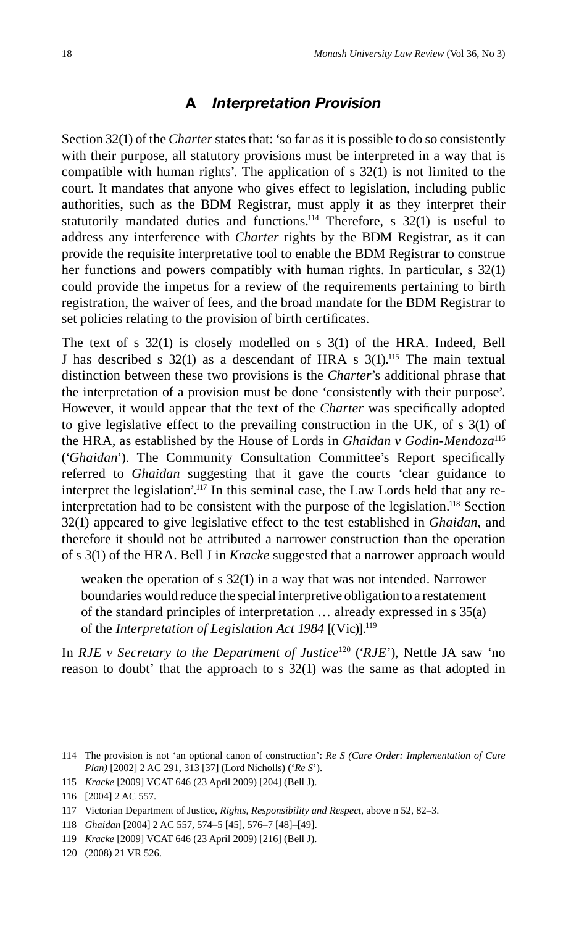#### **A** *Interpretation Provision*

Section 32(1) of the *Charter* states that: 'so far as it is possible to do so consistently with their purpose, all statutory provisions must be interpreted in a way that is compatible with human rights'. The application of s 32(1) is not limited to the court. It mandates that anyone who gives effect to legislation, including public authorities, such as the BDM Registrar, must apply it as they interpret their statutorily mandated duties and functions.<sup>114</sup> Therefore, s  $32(1)$  is useful to address any interference with *Charter* rights by the BDM Registrar, as it can provide the requisite interpretative tool to enable the BDM Registrar to construe her functions and powers compatibly with human rights. In particular, s 32(1) could provide the impetus for a review of the requirements pertaining to birth registration, the waiver of fees, and the broad mandate for the BDM Registrar to set policies relating to the provision of birth certificates.

The text of s 32(1) is closely modelled on s 3(1) of the HRA. Indeed, Bell J has described s  $32(1)$  as a descendant of HRA s  $3(1)$ .<sup>115</sup> The main textual distinction between these two provisions is the *Charter*'s additional phrase that the interpretation of a provision must be done 'consistently with their purpose'. However, it would appear that the text of the *Charter* was specifically adopted to give legislative effect to the prevailing construction in the UK, of s 3(1) of the HRA, as established by the House of Lords in *Ghaidan v Godin-Mendoza*<sup>116</sup> ('*Ghaidan*'). The Community Consultation Committee's Report specifically referred to *Ghaidan* suggesting that it gave the courts 'clear guidance to interpret the legislation'.117 In this seminal case, the Law Lords held that any reinterpretation had to be consistent with the purpose of the legislation.<sup>118</sup> Section 32(1) appeared to give legislative effect to the test established in *Ghaidan*, and therefore it should not be attributed a narrower construction than the operation of s 3(1) of the HRA. Bell J in *Kracke* suggested that a narrower approach would

weaken the operation of s 32(1) in a way that was not intended. Narrower boundaries would reduce the special interpretive obligation to a restatement of the standard principles of interpretation … already expressed in s 35(a) of the *Interpretation of Legislation Act 1984* [(Vic)].<sup>119</sup>

In *RJE v Secretary to the Department of Justice*<sup>120</sup> ('*RJE*'), Nettle JA saw 'no reason to doubt' that the approach to s 32(1) was the same as that adopted in

118 *Ghaidan* [2004] 2 AC 557, 574–5 [45], 576–7 [48]–[49].

120 (2008) 21 VR 526.

<sup>114</sup> The provision is not 'an optional canon of construction': *Re S (Care Order: Implementation of Care Plan)* [2002] 2 AC 291, 313 [37] (Lord Nicholls) ('*Re S*').

<sup>115</sup> *Kracke* [2009] VCAT 646 (23 April 2009) [204] (Bell J).

<sup>116 [2004] 2</sup> AC 557.

<sup>117</sup> Victorian Department of Justice, *Rights, Responsibility and Respect*, above n 52, 82–3.

<sup>119</sup> *Kracke* [2009] VCAT 646 (23 April 2009) [216] (Bell J).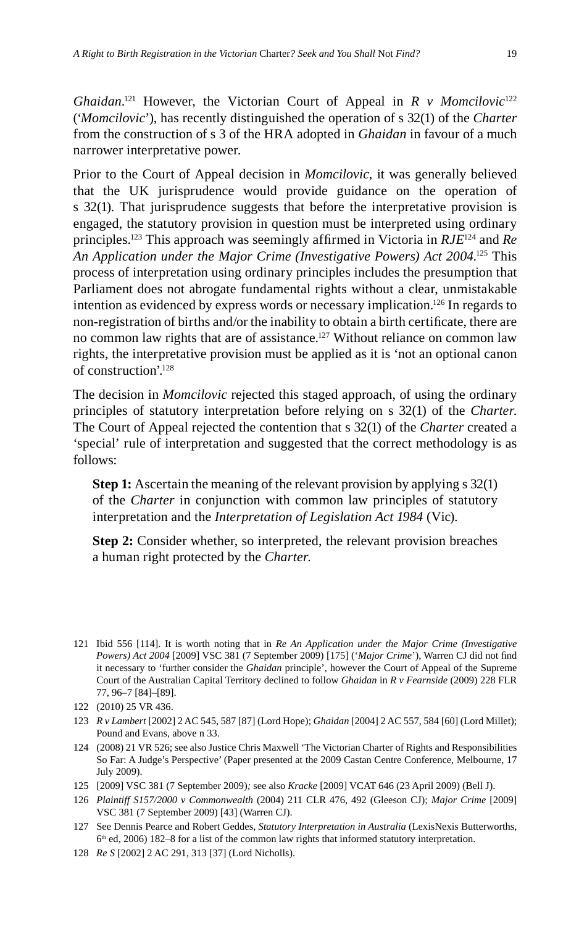*Ghaidan*. 121 However, the Victorian Court of Appeal in *R v Momcilovic*<sup>122</sup> ('*Momcilovic*'), has recently distinguished the operation of s 32(1) of the *Charter* from the construction of s 3 of the HRA adopted in *Ghaidan* in favour of a much narrower interpretative power.

Prior to the Court of Appeal decision in *Momcilovic*, it was generally believed that the UK jurisprudence would provide guidance on the operation of s 32(1). That jurisprudence suggests that before the interpretative provision is engaged, the statutory provision in question must be interpreted using ordinary principles.<sup>123</sup> This approach was seemingly affirmed in Victoria in  $RJE^{124}$  and  $Re$ An Application under the Major Crime (Investigative Powers) Act 2004.<sup>125</sup> This process of interpretation using ordinary principles includes the presumption that Parliament does not abrogate fundamental rights without a clear, unmistakable intention as evidenced by express words or necessary implication.126 In regards to non-registration of births and/or the inability to obtain a birth certificate, there are no common law rights that are of assistance.<sup>127</sup> Without reliance on common law rights, the interpretative provision must be applied as it is 'not an optional canon of construction'.128

The decision in *Momcilovic* rejected this staged approach, of using the ordinary principles of statutory interpretation before relying on s 32(1) of the *Charter*. The Court of Appeal rejected the contention that s 32(1) of the *Charter* created a 'special' rule of interpretation and suggested that the correct methodology is as follows:

**Step 1:** Ascertain the meaning of the relevant provision by applying s 32(1) of the *Charter* in conjunction with common law principles of statutory interpretation and the *Interpretation of Legislation Act 1984* (Vic).

**Step 2:** Consider whether, so interpreted, the relevant provision breaches a human right protected by the *Charter*.

- 123 *R v Lambert* [2002] 2 AC 545, 587 [87] (Lord Hope); *Ghaidan* [2004] 2 AC 557, 584 [60] (Lord Millet); Pound and Evans, above n 33.
- 124 (2008) 21 VR 526; see also Justice Chris Maxwell 'The Victorian Charter of Rights and Responsibilities So Far: A Judge's Perspective' (Paper presented at the 2009 Castan Centre Conference, Melbourne, 17 July 2009).
- 125 [2009] VSC 381 (7 September 2009)*;* see also *Kracke* [2009] VCAT 646 (23 April 2009) (Bell J).
- 126 *Plaintiff S157/2000 v Commonwealth* (2004) 211 CLR 476, 492 (Gleeson CJ); *Major Crime* [2009] VSC 381 (7 September 2009) [43] (Warren CJ).
- 127 See Dennis Pearce and Robert Geddes, *Statutory Interpretation in Australia* (LexisNexis Butterworths,  $6<sup>th</sup>$  ed, 2006) 182–8 for a list of the common law rights that informed statutory interpretation.
- 128 *Re S* [2002] 2 AC 291, 313 [37] (Lord Nicholls).

<sup>121</sup> Ibid 556 [114]. It is worth noting that in *Re An Application under the Major Crime (Investigative*  Powers) Act 2004 [2009] VSC 381 (7 September 2009) [175] ('*Major Crime*'), Warren CJ did not find it necessary to 'further consider the *Ghaidan* principle', however the Court of Appeal of the Supreme Court of the Australian Capital Territory declined to follow *Ghaidan* in *R v Fearnside* (2009) 228 FLR 77, 96–7 [84]–[89].

<sup>122 (2010) 25</sup> VR 436.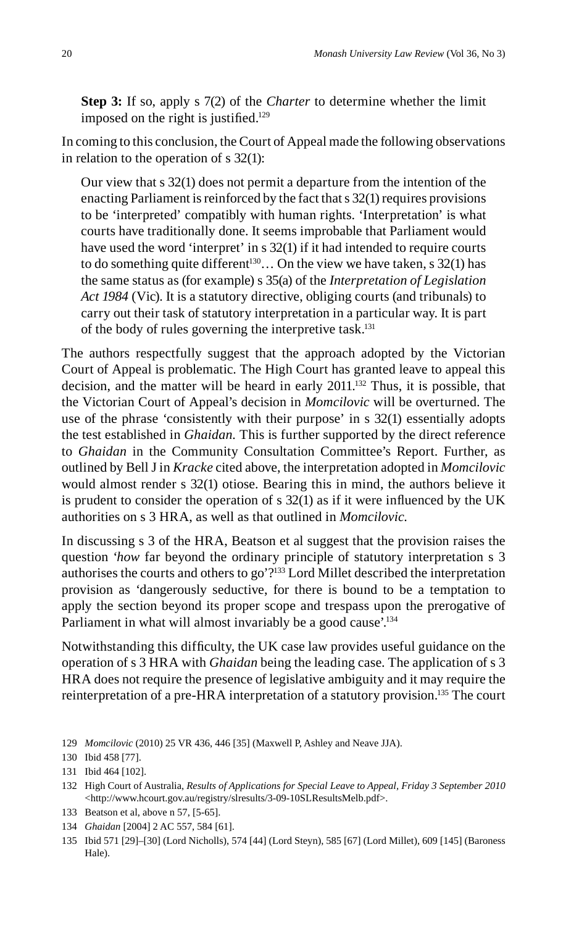**Step 3:** If so, apply s 7(2) of the *Charter* to determine whether the limit imposed on the right is justified.<sup>129</sup>

In coming to this conclusion, the Court of Appeal made the following observations in relation to the operation of s 32(1):

Our view that s 32(1) does not permit a departure from the intention of the enacting Parliament is reinforced by the fact that s 32(1) requires provisions to be 'interpreted' compatibly with human rights. 'Interpretation' is what courts have traditionally done. It seems improbable that Parliament would have used the word 'interpret' in s 32(1) if it had intended to require courts to do something quite different<sup>130</sup>... On the view we have taken, s  $32(1)$  has the same status as (for example) s 35(a) of the *Interpretation of Legislation Act 1984* (Vic). It is a statutory directive, obliging courts (and tribunals) to carry out their task of statutory interpretation in a particular way. It is part of the body of rules governing the interpretive task.<sup>131</sup>

The authors respectfully suggest that the approach adopted by the Victorian Court of Appeal is problematic. The High Court has granted leave to appeal this decision, and the matter will be heard in early 2011.132 Thus, it is possible, that the Victorian Court of Appeal's decision in *Momcilovic* will be overturned. The use of the phrase 'consistently with their purpose' in s 32(1) essentially adopts the test established in *Ghaidan.* This is further supported by the direct reference to *Ghaidan* in the Community Consultation Committee's Report. Further, as outlined by Bell J in *Kracke* cited above, the interpretation adopted in *Momcilovic* would almost render s 32(1) otiose. Bearing this in mind, the authors believe it is prudent to consider the operation of  $s$  32(1) as if it were influenced by the UK authorities on s 3 HRA, as well as that outlined in *Momcilovic*.

In discussing s 3 of the HRA, Beatson et al suggest that the provision raises the question '*how* far beyond the ordinary principle of statutory interpretation s 3 authorises the courts and others to go'?133 Lord Millet described the interpretation provision as 'dangerously seductive, for there is bound to be a temptation to apply the section beyond its proper scope and trespass upon the prerogative of Parliament in what will almost invariably be a good cause'.<sup>134</sup>

Notwithstanding this difficulty, the UK case law provides useful guidance on the operation of s 3 HRA with *Ghaidan* being the leading case. The application of s 3 HRA does not require the presence of legislative ambiguity and it may require the reinterpretation of a pre-HRA interpretation of a statutory provision.135 The court

134 *Ghaidan* [2004] 2 AC 557, 584 [61].

<sup>129</sup> *Momcilovic* (2010) 25 VR 436, 446 [35] (Maxwell P, Ashley and Neave JJA).

<sup>130</sup> Ibid 458 [77].

<sup>131</sup> Ibid 464 [102].

<sup>132</sup> High Court of Australia, *Results of Applications for Special Leave to Appeal, Friday 3 September 2010* <http://www.hcourt.gov.au/registry/slresults/3-09-10SLResultsMelb.pdf>.

<sup>133</sup> Beatson et al, above n 57, [5-65].

<sup>135</sup> Ibid 571 [29]–[30] (Lord Nicholls), 574 [44] (Lord Steyn), 585 [67] (Lord Millet), 609 [145] (Baroness Hale).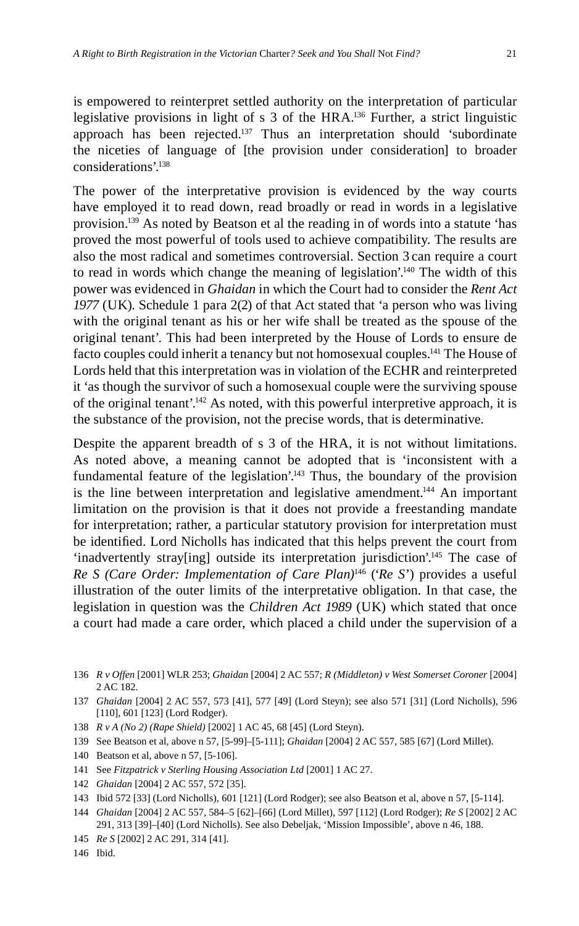is empowered to reinterpret settled authority on the interpretation of particular legislative provisions in light of s 3 of the HRA.<sup>136</sup> Further, a strict linguistic approach has been rejected.<sup>137</sup> Thus an interpretation should 'subordinate the niceties of language of [the provision under consideration] to broader considerations'.138

The power of the interpretative provision is evidenced by the way courts have employed it to read down, read broadly or read in words in a legislative provision.<sup>139</sup> As noted by Beatson et al the reading in of words into a statute 'has proved the most powerful of tools used to achieve compatibility. The results are also the most radical and sometimes controversial. Section 3 can require a court to read in words which change the meaning of legislation'.140 The width of this power was evidenced in *Ghaidan* in which the Court had to consider the *Rent Act 1977* (UK). Schedule 1 para 2(2) of that Act stated that 'a person who was living with the original tenant as his or her wife shall be treated as the spouse of the original tenant'. This had been interpreted by the House of Lords to ensure de facto couples could inherit a tenancy but not homosexual couples.<sup>141</sup> The House of Lords held that this interpretation was in violation of the ECHR and reinterpreted it 'as though the survivor of such a homosexual couple were the surviving spouse of the original tenant'.142 As noted, with this powerful interpretive approach, it is the substance of the provision, not the precise words, that is determinative.

Despite the apparent breadth of s 3 of the HRA, it is not without limitations. As noted above, a meaning cannot be adopted that is 'inconsistent with a fundamental feature of the legislation'.<sup>143</sup> Thus, the boundary of the provision is the line between interpretation and legislative amendment.144 An important limitation on the provision is that it does not provide a freestanding mandate for interpretation; rather, a particular statutory provision for interpretation must be identified. Lord Nicholls has indicated that this helps prevent the court from 'inadvertently stray[ing] outside its interpretation jurisdiction'.145 The case of *Re S (Care Order: Implementation of Care Plan)*<sup>146</sup> ('*Re S*') provides a useful illustration of the outer limits of the interpretative obligation. In that case, the legislation in question was the *Children Act 1989* (UK) which stated that once a court had made a care order, which placed a child under the supervision of a

- 136 *R v Offen* [2001] WLR 253; *Ghaidan* [2004] 2 AC 557; *R (Middleton) v West Somerset Coroner* [2004] 2 AC 182.
- 137 *Ghaidan* [2004] 2 AC 557, 573 [41], 577 [49] (Lord Steyn); see also 571 [31] (Lord Nicholls), 596 [110], 601 [123] (Lord Rodger).
- 138 *R v A (No 2) (Rape Shield)* [2002] 1 AC 45, 68 [45] (Lord Steyn).
- 139 See Beatson et al, above n 57, [5-99]–[5-111]; *Ghaidan* [2004] 2 AC 557, 585 [67] (Lord Millet).
- 140 Beatson et al, above n 57, [5-106].
- 141 See *Fitzpatrick v Sterling Housing Association Ltd* [2001] 1 AC 27.
- 142 *Ghaidan* [2004] 2 AC 557, 572 [35].
- 143 Ibid 572 [33] (Lord Nicholls), 601 [121] (Lord Rodger); see also Beatson et al, above n 57, [5-114].
- 144 *Ghaidan* [2004] 2 AC 557, 584–5 [62]–[66] (Lord Millet), 597 [112] (Lord Rodger); *Re S* [2002] 2 AC 291, 313 [39]–[40] (Lord Nicholls). See also Debeljak, 'Mission Impossible', above n 46, 188.
- 145 *Re S* [2002] 2 AC 291, 314 [41].
- 146 Ibid.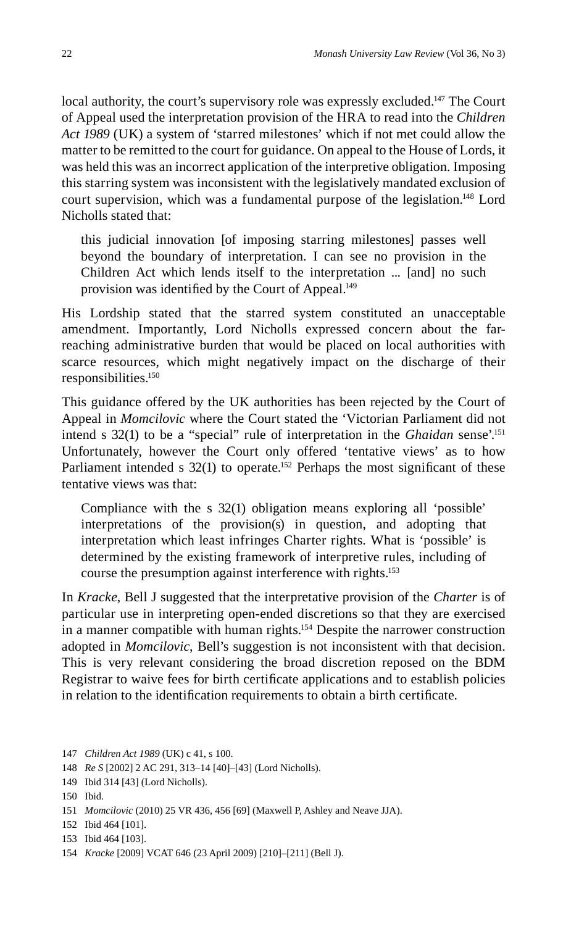local authority, the court's supervisory role was expressly excluded.<sup>147</sup> The Court of Appeal used the interpretation provision of the HRA to read into the *Children Act 1989* (UK) a system of 'starred milestones' which if not met could allow the matter to be remitted to the court for guidance. On appeal to the House of Lords, it was held this was an incorrect application of the interpretive obligation. Imposing this starring system was inconsistent with the legislatively mandated exclusion of court supervision, which was a fundamental purpose of the legislation.<sup>148</sup> Lord Nicholls stated that:

this judicial innovation [of imposing starring milestones] passes well beyond the boundary of interpretation. I can see no provision in the Children Act which lends itself to the interpretation ... [and] no such provision was identified by the Court of Appeal.<sup>149</sup>

His Lordship stated that the starred system constituted an unacceptable amendment. Importantly, Lord Nicholls expressed concern about the farreaching administrative burden that would be placed on local authorities with scarce resources, which might negatively impact on the discharge of their responsibilities.150

This guidance offered by the UK authorities has been rejected by the Court of Appeal in *Momcilovic* where the Court stated the 'Victorian Parliament did not intend s 32(1) to be a "special" rule of interpretation in the *Ghaidan* sense'.151 Unfortunately, however the Court only offered 'tentative views' as to how Parliament intended s  $32(1)$  to operate.<sup>152</sup> Perhaps the most significant of these tentative views was that:

Compliance with the s 32(1) obligation means exploring all 'possible' interpretations of the provision(s) in question, and adopting that interpretation which least infringes Charter rights. What is 'possible' is determined by the existing framework of interpretive rules, including of course the presumption against interference with rights.153

In *Kracke*, Bell J suggested that the interpretative provision of the *Charter* is of particular use in interpreting open-ended discretions so that they are exercised in a manner compatible with human rights.<sup>154</sup> Despite the narrower construction adopted in *Momcilovic*, Bell's suggestion is not inconsistent with that decision. This is very relevant considering the broad discretion reposed on the BDM Registrar to waive fees for birth certificate applications and to establish policies in relation to the identification requirements to obtain a birth certificate.

<sup>147</sup> *Children Act 1989* (UK) c 41, s 100.

<sup>148</sup> *Re S* [2002] 2 AC 291, 313–14 [40]–[43] (Lord Nicholls).

<sup>149</sup> Ibid 314 [43] (Lord Nicholls).

<sup>150</sup> Ibid.

<sup>151</sup> *Momcilovic* (2010) 25 VR 436, 456 [69] (Maxwell P, Ashley and Neave JJA).

<sup>152</sup> Ibid 464 [101].

<sup>153</sup> Ibid 464 [103].

<sup>154</sup> *Kracke* [2009] VCAT 646 (23 April 2009) [210]–[211] (Bell J).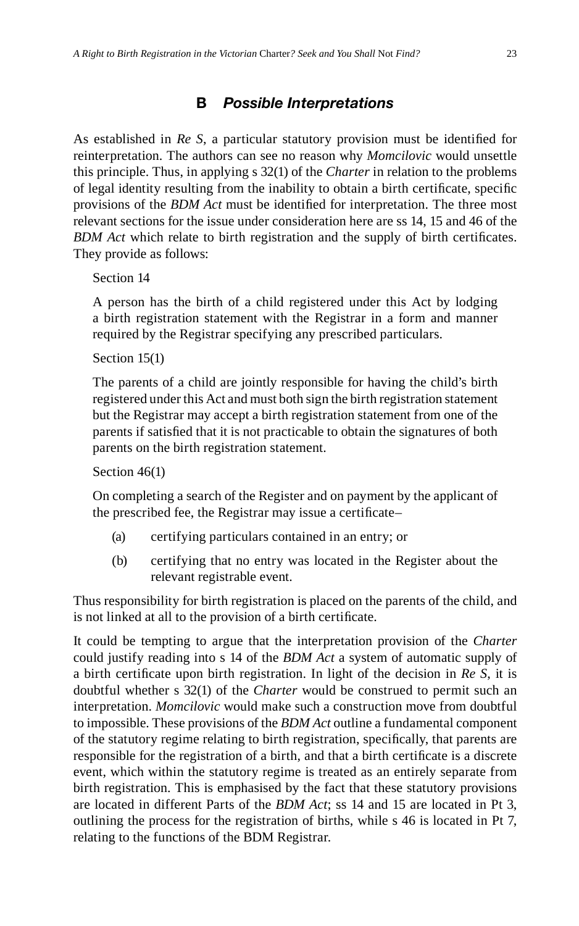As established in *Re S*, a particular statutory provision must be identified for reinterpretation. The authors can see no reason why *Momcilovic* would unsettle this principle. Thus, in applying s 32(1) of the *Charter* in relation to the problems of legal identity resulting from the inability to obtain a birth certificate, specific provisions of the *BDM Act* must be identified for interpretation. The three most relevant sections for the issue under consideration here are ss 14, 15 and 46 of the *BDM Act* which relate to birth registration and the supply of birth certificates. They provide as follows:

Section 14

A person has the birth of a child registered under this Act by lodging a birth registration statement with the Registrar in a form and manner required by the Registrar specifying any prescribed particulars.

Section 15(1)

The parents of a child are jointly responsible for having the child's birth registered under this Act and must both sign the birth registration statement but the Registrar may accept a birth registration statement from one of the parents if satisfied that it is not practicable to obtain the signatures of both parents on the birth registration statement.

#### Section 46(1)

On completing a search of the Register and on payment by the applicant of the prescribed fee, the Registrar may issue a certificate-

- (a) certifying particulars contained in an entry; or
- (b) certifying that no entry was located in the Register about the relevant registrable event.

Thus responsibility for birth registration is placed on the parents of the child, and is not linked at all to the provision of a birth certificate.

It could be tempting to argue that the interpretation provision of the *Charter* could justify reading into s 14 of the *BDM Act* a system of automatic supply of a birth certificate upon birth registration. In light of the decision in *Re S*, it is doubtful whether s 32(1) of the *Charter* would be construed to permit such an interpretation. *Momcilovic* would make such a construction move from doubtful to impossible. These provisions of the *BDM Act* outline a fundamental component of the statutory regime relating to birth registration, specifically, that parents are responsible for the registration of a birth, and that a birth certificate is a discrete event, which within the statutory regime is treated as an entirely separate from birth registration. This is emphasised by the fact that these statutory provisions are located in different Parts of the *BDM Act*; ss 14 and 15 are located in Pt 3, outlining the process for the registration of births, while s 46 is located in Pt 7, relating to the functions of the BDM Registrar.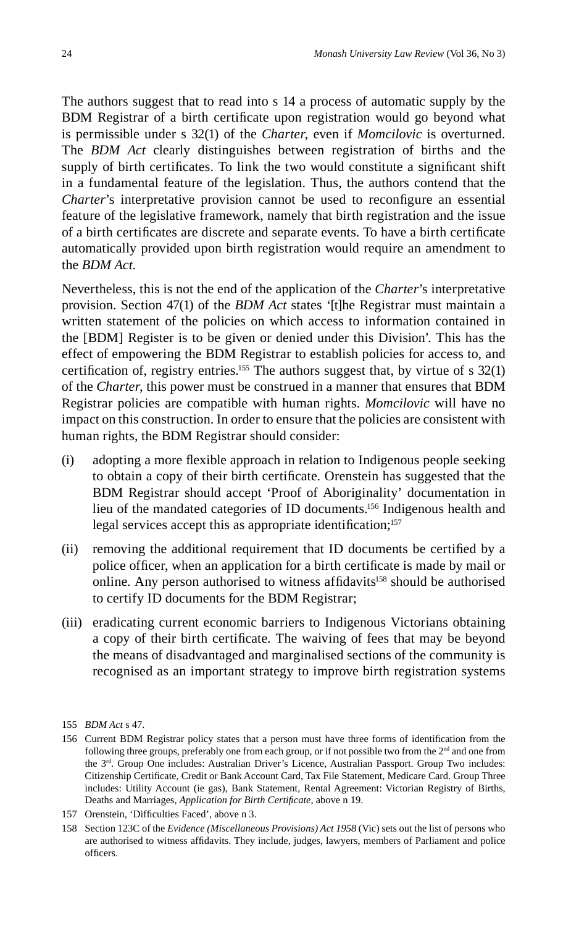The authors suggest that to read into s 14 a process of automatic supply by the BDM Registrar of a birth certificate upon registration would go beyond what is permissible under s 32(1) of the *Charter*, even if *Momcilovic* is overturned. The *BDM Act* clearly distinguishes between registration of births and the supply of birth certificates. To link the two would constitute a significant shift in a fundamental feature of the legislation. Thus, the authors contend that the *Charter*'s interpretative provision cannot be used to reconfigure an essential feature of the legislative framework, namely that birth registration and the issue of a birth certificates are discrete and separate events. To have a birth certificate automatically provided upon birth registration would require an amendment to the *BDM Act*.

Nevertheless, this is not the end of the application of the *Charter*'s interpretative provision. Section 47(1) of the *BDM Act* states '[t]he Registrar must maintain a written statement of the policies on which access to information contained in the [BDM] Register is to be given or denied under this Division'. This has the effect of empowering the BDM Registrar to establish policies for access to, and certification of, registry entries.<sup>155</sup> The authors suggest that, by virtue of s  $32(1)$ of the *Charter*, this power must be construed in a manner that ensures that BDM Registrar policies are compatible with human rights. *Momcilovic* will have no impact on this construction. In order to ensure that the policies are consistent with human rights, the BDM Registrar should consider:

- (i) adopting a more flexible approach in relation to Indigenous people seeking to obtain a copy of their birth certificate. Orenstein has suggested that the BDM Registrar should accept 'Proof of Aboriginality' documentation in lieu of the mandated categories of ID documents.156 Indigenous health and legal services accept this as appropriate identification;<sup>157</sup>
- (ii) removing the additional requirement that ID documents be certified by a police officer, when an application for a birth certificate is made by mail or online. Any person authorised to witness affidavits<sup>158</sup> should be authorised to certify ID documents for the BDM Registrar;
- (iii) eradicating current economic barriers to Indigenous Victorians obtaining a copy of their birth certificate. The waiving of fees that may be beyond the means of disadvantaged and marginalised sections of the community is recognised as an important strategy to improve birth registration systems

<sup>155</sup> *BDM Act* s 47.

<sup>156</sup> Current BDM Registrar policy states that a person must have three forms of identification from the following three groups, preferably one from each group, or if not possible two from the 2nd and one from the  $3<sup>rd</sup>$ . Group One includes: Australian Driver's Licence, Australian Passport. Group Two includes: Citizenship Certificate, Credit or Bank Account Card, Tax File Statement, Medicare Card. Group Three includes: Utility Account (ie gas), Bank Statement, Rental Agreement: Victorian Registry of Births, Deaths and Marriages, *Application for Birth Certificate*, above n 19.

<sup>157</sup> Orenstein, 'Difficulties Faced', above n 3.

<sup>158</sup> Section 123C of the *Evidence (Miscellaneous Provisions) Act 1958* (Vic) sets out the list of persons who are authorised to witness affidavits. They include, judges, lawyers, members of Parliament and police officers.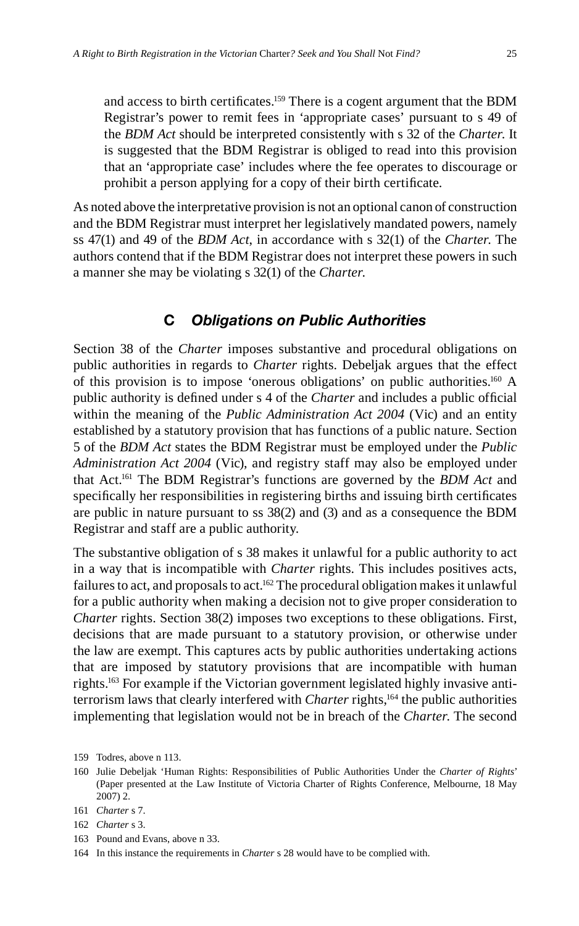and access to birth certificates.<sup>159</sup> There is a cogent argument that the BDM Registrar's power to remit fees in 'appropriate cases' pursuant to s 49 of the *BDM Act* should be interpreted consistently with s 32 of the *Charter*. It is suggested that the BDM Registrar is obliged to read into this provision that an 'appropriate case' includes where the fee operates to discourage or prohibit a person applying for a copy of their birth certificate.

As noted above the interpretative provision is not an optional canon of construction and the BDM Registrar must interpret her legislatively mandated powers, namely ss 47(1) and 49 of the *BDM Act*, in accordance with s 32(1) of the *Charter*. The authors contend that if the BDM Registrar does not interpret these powers in such a manner she may be violating s 32(1) of the *Charter*.

#### **C** *Obligations on Public Authorities*

Section 38 of the *Charter* imposes substantive and procedural obligations on public authorities in regards to *Charter* rights. Debeljak argues that the effect of this provision is to impose 'onerous obligations' on public authorities.160 A public authority is defined under s 4 of the *Charter* and includes a public official within the meaning of the *Public Administration Act 2004* (Vic) and an entity established by a statutory provision that has functions of a public nature. Section 5 of the *BDM Act* states the BDM Registrar must be employed under the *Public Administration Act 2004* (Vic), and registry staff may also be employed under that Act.161 The BDM Registrar's functions are governed by the *BDM Act* and specifically her responsibilities in registering births and issuing birth certificates are public in nature pursuant to ss 38(2) and (3) and as a consequence the BDM Registrar and staff are a public authority.

The substantive obligation of s 38 makes it unlawful for a public authority to act in a way that is incompatible with *Charter* rights. This includes positives acts, failures to act, and proposals to act.<sup>162</sup> The procedural obligation makes it unlawful for a public authority when making a decision not to give proper consideration to *Charter* rights. Section 38(2) imposes two exceptions to these obligations. First, decisions that are made pursuant to a statutory provision, or otherwise under the law are exempt. This captures acts by public authorities undertaking actions that are imposed by statutory provisions that are incompatible with human rights.163 For example if the Victorian government legislated highly invasive antiterrorism laws that clearly interfered with *Charter* rights,<sup>164</sup> the public authorities implementing that legislation would not be in breach of the *Charter*. The second

163 Pound and Evans, above n 33.

<sup>159</sup> Todres, above n 113.

<sup>160</sup> Julie Debeljak 'Human Rights: Responsibilities of Public Authorities Under the *Charter of Rights*' (Paper presented at the Law Institute of Victoria Charter of Rights Conference, Melbourne, 18 May 2007) 2.

<sup>161</sup> *Charter* s 7.

<sup>162</sup> *Charter* s 3.

<sup>164</sup> In this instance the requirements in *Charter* s 28 would have to be complied with.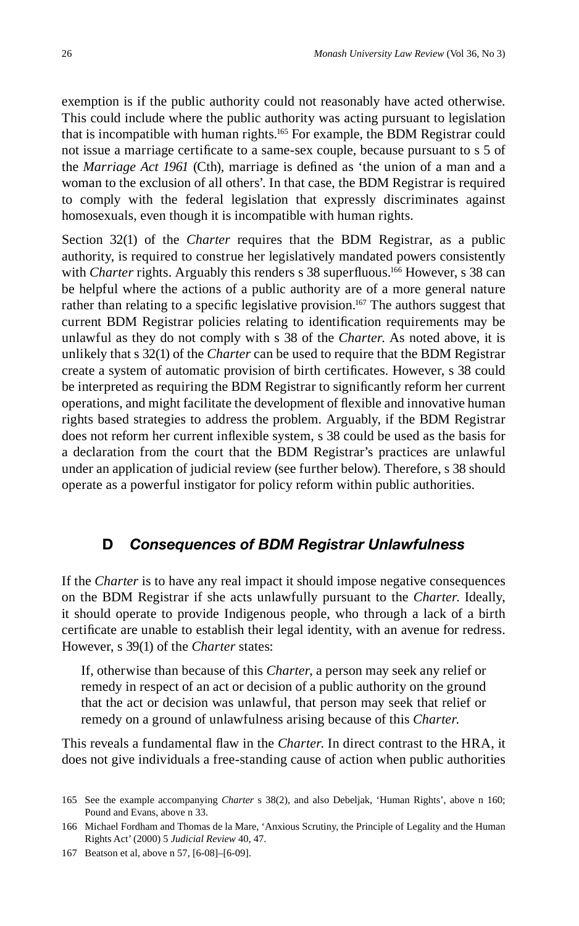exemption is if the public authority could not reasonably have acted otherwise. This could include where the public authority was acting pursuant to legislation that is incompatible with human rights.165 For example, the BDM Registrar could not issue a marriage certificate to a same-sex couple, because pursuant to s 5 of the *Marriage Act 1961* (Cth), marriage is defined as 'the union of a man and a woman to the exclusion of all others'. In that case, the BDM Registrar is required to comply with the federal legislation that expressly discriminates against homosexuals, even though it is incompatible with human rights.

Section 32(1) of the *Charter* requires that the BDM Registrar, as a public authority, is required to construe her legislatively mandated powers consistently with *Charter* rights. Arguably this renders s 38 superfluous.<sup>166</sup> However, s 38 can be helpful where the actions of a public authority are of a more general nature rather than relating to a specific legislative provision.<sup>167</sup> The authors suggest that current BDM Registrar policies relating to identification requirements may be unlawful as they do not comply with s 38 of the *Charter*. As noted above, it is unlikely that s 32(1) of the *Charter* can be used to require that the BDM Registrar create a system of automatic provision of birth certificates. However, s 38 could be interpreted as requiring the BDM Registrar to significantly reform her current operations, and might facilitate the development of flexible and innovative human rights based strategies to address the problem. Arguably, if the BDM Registrar does not reform her current inflexible system, s 38 could be used as the basis for a declaration from the court that the BDM Registrar's practices are unlawful under an application of judicial review (see further below). Therefore, s 38 should operate as a powerful instigator for policy reform within public authorities.

## **D** *Consequences of BDM Registrar Unlawfulness*

If the *Charter* is to have any real impact it should impose negative consequences on the BDM Registrar if she acts unlawfully pursuant to the *Charter*. Ideally, it should operate to provide Indigenous people, who through a lack of a birth certificate are unable to establish their legal identity, with an avenue for redress. However, s 39(1) of the *Charter* states:

If, otherwise than because of this *Charter*, a person may seek any relief or remedy in respect of an act or decision of a public authority on the ground that the act or decision was unlawful, that person may seek that relief or remedy on a ground of unlawfulness arising because of this *Charter*.

This reveals a fundamental flaw in the *Charter*. In direct contrast to the HRA, it does not give individuals a free-standing cause of action when public authorities

<sup>165</sup> See the example accompanying *Charter* s 38(2), and also Debeljak, 'Human Rights', above n 160; Pound and Evans, above n 33.

<sup>166</sup> Michael Fordham and Thomas de la Mare, 'Anxious Scrutiny, the Principle of Legality and the Human Rights Act' (2000) 5 *Judicial Review* 40, 47.

<sup>167</sup> Beatson et al, above n 57, [6-08]–[6-09].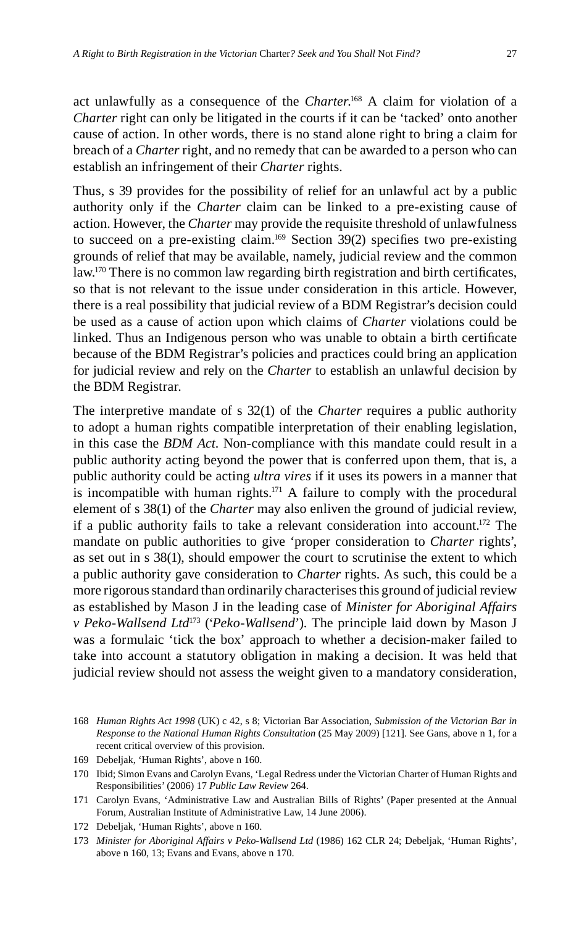act unlawfully as a consequence of the *Charter*. 168 A claim for violation of a *Charter* right can only be litigated in the courts if it can be 'tacked' onto another cause of action. In other words, there is no stand alone right to bring a claim for breach of a *Charter* right, and no remedy that can be awarded to a person who can establish an infringement of their *Charter* rights.

Thus, s 39 provides for the possibility of relief for an unlawful act by a public authority only if the *Charter* claim can be linked to a pre-existing cause of action. However, the *Charter* may provide the requisite threshold of unlawfulness to succeed on a pre-existing claim.<sup>169</sup> Section 39(2) specifies two pre-existing grounds of relief that may be available, namely, judicial review and the common law.<sup>170</sup> There is no common law regarding birth registration and birth certificates, so that is not relevant to the issue under consideration in this article. However, there is a real possibility that judicial review of a BDM Registrar's decision could be used as a cause of action upon which claims of *Charter* violations could be linked. Thus an Indigenous person who was unable to obtain a birth certificate because of the BDM Registrar's policies and practices could bring an application for judicial review and rely on the *Charter* to establish an unlawful decision by the BDM Registrar.

The interpretive mandate of s 32(1) of the *Charter* requires a public authority to adopt a human rights compatible interpretation of their enabling legislation, in this case the *BDM Act*. Non-compliance with this mandate could result in a public authority acting beyond the power that is conferred upon them, that is, a public authority could be acting *ultra vires* if it uses its powers in a manner that is incompatible with human rights.<sup>171</sup> A failure to comply with the procedural element of s 38(1) of the *Charter* may also enliven the ground of judicial review, if a public authority fails to take a relevant consideration into account.172 The mandate on public authorities to give 'proper consideration to *Charter* rights', as set out in s 38(1), should empower the court to scrutinise the extent to which a public authority gave consideration to *Charter* rights. As such, this could be a more rigorous standard than ordinarily characterises this ground of judicial review as established by Mason J in the leading case of *Minister for Aboriginal Affairs v Peko-Wallsend Ltd*173 ('*Peko-Wallsend*'). The principle laid down by Mason J was a formulaic 'tick the box' approach to whether a decision-maker failed to take into account a statutory obligation in making a decision. It was held that judicial review should not assess the weight given to a mandatory consideration,

169 Debeljak, 'Human Rights', above n 160.

<sup>168</sup> *Human Rights Act 1998* (UK) c 42, s 8; Victorian Bar Association, *Submission of the Victorian Bar in Response to the National Human Rights Consultation* (25 May 2009) [121]. See Gans, above n 1, for a recent critical overview of this provision.

<sup>170</sup> Ibid; Simon Evans and Carolyn Evans, 'Legal Redress under the Victorian Charter of Human Rights and Responsibilities' (2006) 17 *Public Law Review* 264.

<sup>171</sup> Carolyn Evans, 'Administrative Law and Australian Bills of Rights' (Paper presented at the Annual Forum, Australian Institute of Administrative Law, 14 June 2006).

<sup>172</sup> Debeljak, 'Human Rights', above n 160.

<sup>173</sup> *Minister for Aboriginal Affairs v Peko-Wallsend Ltd* (1986) 162 CLR 24; Debeljak, 'Human Rights', above n 160, 13; Evans and Evans, above n 170.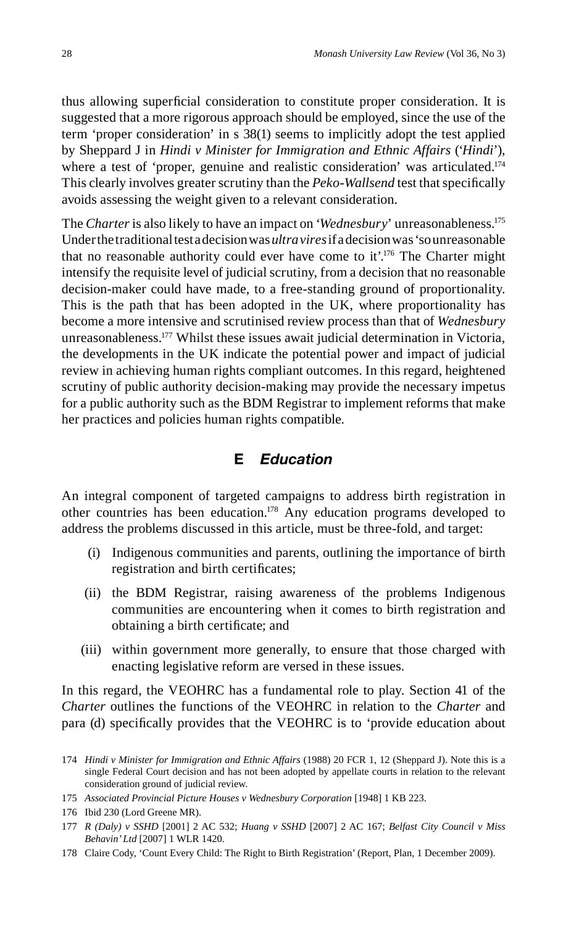thus allowing superficial consideration to constitute proper consideration. It is suggested that a more rigorous approach should be employed, since the use of the term 'proper consideration' in s 38(1) seems to implicitly adopt the test applied by Sheppard J in *Hindi v Minister for Immigration and Ethnic Affairs* ('*Hindi*'), where a test of 'proper, genuine and realistic consideration' was articulated.<sup>174</sup> This clearly involves greater scrutiny than the *Peko-Wallsend* test that specifically avoids assessing the weight given to a relevant consideration.

The *Charter* is also likely to have an impact on '*Wednesbury*' unreasonableness.175 Under the traditional test a decision was *ultra vires* if a decision was 'so unreasonable that no reasonable authority could ever have come to it'.<sup>176</sup> The Charter might intensify the requisite level of judicial scrutiny, from a decision that no reasonable decision-maker could have made, to a free-standing ground of proportionality. This is the path that has been adopted in the UK, where proportionality has become a more intensive and scrutinised review process than that of *Wednesbury* unreasonableness.177 Whilst these issues await judicial determination in Victoria, the developments in the UK indicate the potential power and impact of judicial review in achieving human rights compliant outcomes. In this regard, heightened scrutiny of public authority decision-making may provide the necessary impetus for a public authority such as the BDM Registrar to implement reforms that make her practices and policies human rights compatible.

# **E** *Education*

An integral component of targeted campaigns to address birth registration in other countries has been education.178 Any education programs developed to address the problems discussed in this article, must be three-fold, and target:

- (i) Indigenous communities and parents, outlining the importance of birth registration and birth certificates;
- (ii) the BDM Registrar, raising awareness of the problems Indigenous communities are encountering when it comes to birth registration and obtaining a birth certificate; and
- (iii) within government more generally, to ensure that those charged with enacting legislative reform are versed in these issues.

In this regard, the VEOHRC has a fundamental role to play. Section 41 of the *Charter* outlines the functions of the VEOHRC in relation to the *Charter* and para (d) specifically provides that the VEOHRC is to 'provide education about

<sup>174</sup> *Hindi v Minister for Immigration and Ethnic Affairs* (1988) 20 FCR 1, 12 (Sheppard J). Note this is a single Federal Court decision and has not been adopted by appellate courts in relation to the relevant consideration ground of judicial review.

<sup>175</sup> *Associated Provincial Picture Houses v Wednesbury Corporation* [1948] 1 KB 223.

<sup>176</sup> Ibid 230 (Lord Greene MR).

<sup>177</sup> *R (Daly) v SSHD* [2001] 2 AC 532; *Huang v SSHD* [2007] 2 AC 167; *Belfast City Council v Miss Behavin' Ltd* [2007] 1 WLR 1420.

<sup>178</sup> Claire Cody, 'Count Every Child: The Right to Birth Registration' (Report, Plan, 1 December 2009).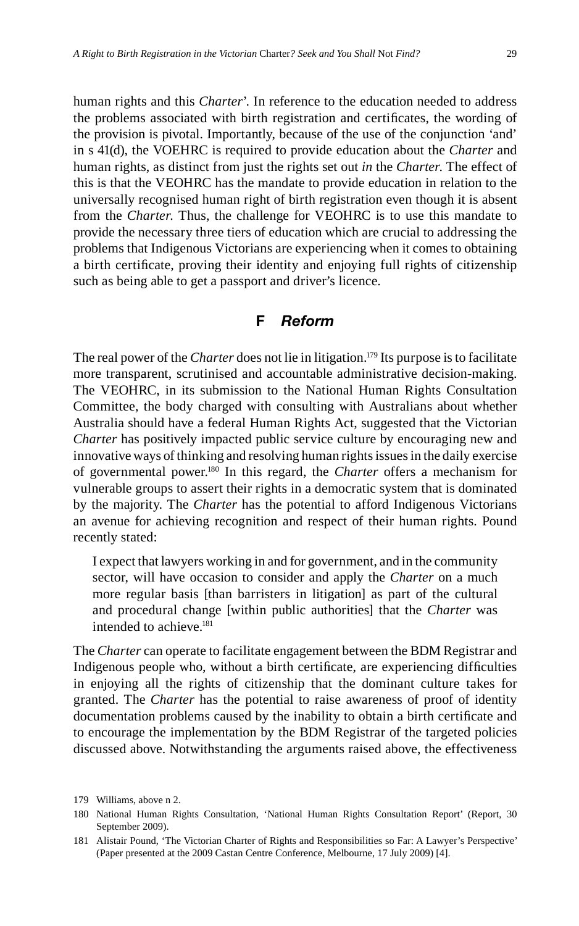the problems associated with birth registration and certificates, the wording of the provision is pivotal. Importantly, because of the use of the conjunction 'and' in s 41(d), the VOEHRC is required to provide education about the *Charter* and human rights, as distinct from just the rights set out *in* the *Charter*. The effect of this is that the VEOHRC has the mandate to provide education in relation to the universally recognised human right of birth registration even though it is absent from the *Charter*. Thus, the challenge for VEOHRC is to use this mandate to provide the necessary three tiers of education which are crucial to addressing the problems that Indigenous Victorians are experiencing when it comes to obtaining a birth certificate, proving their identity and enjoying full rights of citizenship such as being able to get a passport and driver's licence.

# **F** *Reform*

The real power of the *Charter* does not lie in litigation.<sup>179</sup> Its purpose is to facilitate more transparent, scrutinised and accountable administrative decision-making. The VEOHRC, in its submission to the National Human Rights Consultation Committee, the body charged with consulting with Australians about whether Australia should have a federal Human Rights Act, suggested that the Victorian *Charter* has positively impacted public service culture by encouraging new and innovative ways of thinking and resolving human rights issues in the daily exercise of governmental power.180 In this regard, the *Charter* offers a mechanism for vulnerable groups to assert their rights in a democratic system that is dominated by the majority. The *Charter* has the potential to afford Indigenous Victorians an avenue for achieving recognition and respect of their human rights. Pound recently stated:

I expect that lawyers working in and for government, and in the community sector, will have occasion to consider and apply the *Charter* on a much more regular basis [than barristers in litigation] as part of the cultural and procedural change [within public authorities] that the *Charter* was intended to achieve.<sup>181</sup>

The *Charter* can operate to facilitate engagement between the BDM Registrar and Indigenous people who, without a birth certificate, are experiencing difficulties in enjoying all the rights of citizenship that the dominant culture takes for granted. The *Charter* has the potential to raise awareness of proof of identity documentation problems caused by the inability to obtain a birth certificate and to encourage the implementation by the BDM Registrar of the targeted policies discussed above. Notwithstanding the arguments raised above, the effectiveness

<sup>179</sup> Williams, above n 2.

<sup>180</sup> National Human Rights Consultation, 'National Human Rights Consultation Report' (Report, 30 September 2009).

<sup>181</sup> Alistair Pound, 'The Victorian Charter of Rights and Responsibilities so Far: A Lawyer's Perspective' (Paper presented at the 2009 Castan Centre Conference, Melbourne, 17 July 2009) [4].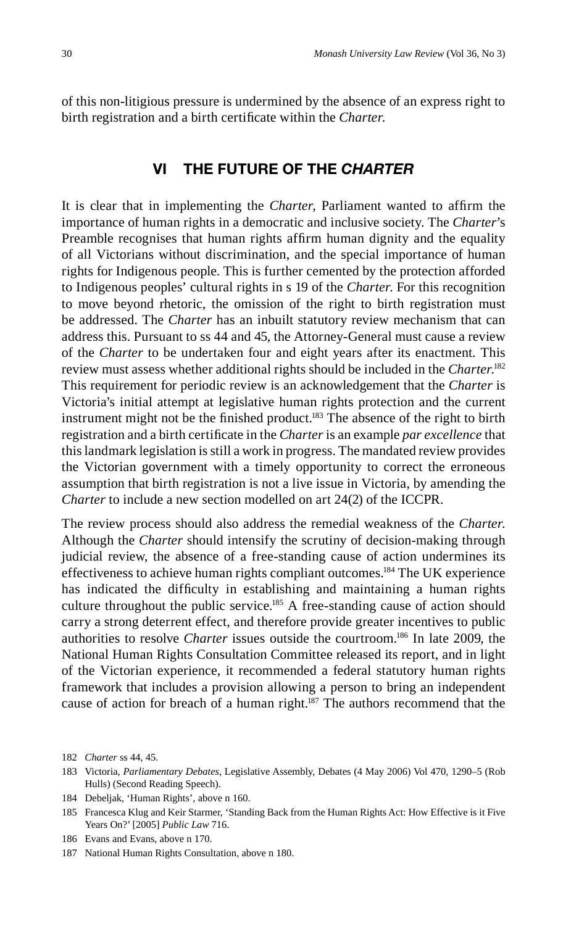of this non-litigious pressure is undermined by the absence of an express right to birth registration and a birth certificate within the *Charter*.

## **VI THE FUTURE OF THE** *CHARTER*

It is clear that in implementing the *Charter*, Parliament wanted to affirm the importance of human rights in a democratic and inclusive society. The *Charter*'s Preamble recognises that human rights affirm human dignity and the equality of all Victorians without discrimination, and the special importance of human rights for Indigenous people. This is further cemented by the protection afforded to Indigenous peoples' cultural rights in s 19 of the *Charter*. For this recognition to move beyond rhetoric, the omission of the right to birth registration must be addressed. The *Charter* has an inbuilt statutory review mechanism that can address this. Pursuant to ss 44 and 45, the Attorney-General must cause a review of the *Charter* to be undertaken four and eight years after its enactment. This review must assess whether additional rights should be included in the *Charter*. 182 This requirement for periodic review is an acknowledgement that the *Charter* is Victoria's initial attempt at legislative human rights protection and the current instrument might not be the finished product.<sup>183</sup> The absence of the right to birth registration and a birth certificate in the *Charter* is an example *par excellence* that this landmark legislation is still a work in progress. The mandated review provides the Victorian government with a timely opportunity to correct the erroneous assumption that birth registration is not a live issue in Victoria, by amending the *Charter* to include a new section modelled on art 24(2) of the ICCPR.

The review process should also address the remedial weakness of the *Charter*. Although the *Charter* should intensify the scrutiny of decision-making through judicial review, the absence of a free-standing cause of action undermines its effectiveness to achieve human rights compliant outcomes.184 The UK experience has indicated the difficulty in establishing and maintaining a human rights culture throughout the public service.<sup>185</sup> A free-standing cause of action should carry a strong deterrent effect, and therefore provide greater incentives to public authorities to resolve *Charter* issues outside the courtroom.186 In late 2009, the National Human Rights Consultation Committee released its report, and in light of the Victorian experience, it recommended a federal statutory human rights framework that includes a provision allowing a person to bring an independent cause of action for breach of a human right.<sup>187</sup> The authors recommend that the

<sup>182</sup> *Charter* ss 44, 45.

<sup>183</sup> Victoria, *Parliamentary Debates*, Legislative Assembly, Debates (4 May 2006) Vol 470, 1290–5 (Rob Hulls) (Second Reading Speech).

<sup>184</sup> Debeljak, 'Human Rights', above n 160.

<sup>185</sup> Francesca Klug and Keir Starmer, 'Standing Back from the Human Rights Act: How Effective is it Five Years On?' [2005] *Public Law* 716.

<sup>186</sup> Evans and Evans, above n 170.

<sup>187</sup> National Human Rights Consultation, above n 180.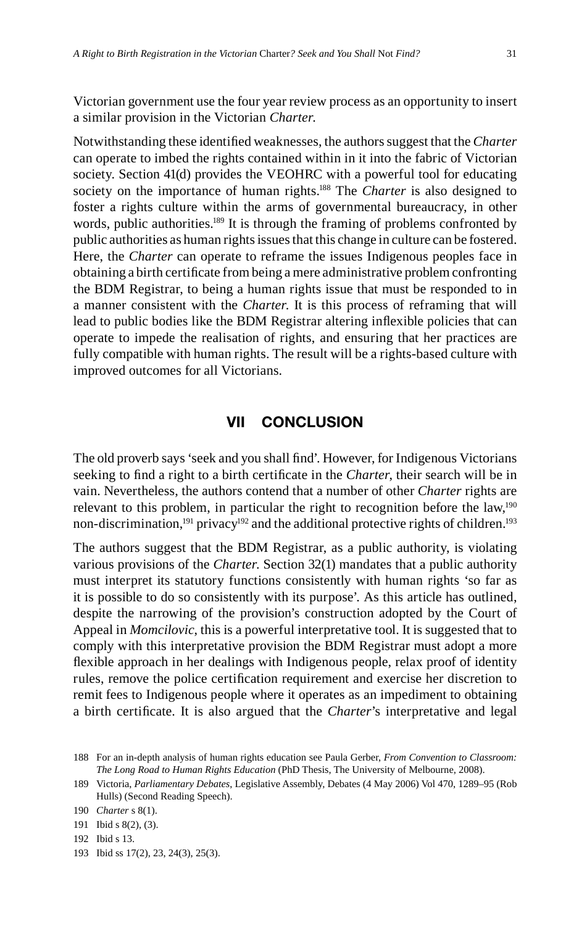Victorian government use the four year review process as an opportunity to insert a similar provision in the Victorian *Charter*.

Notwithstanding these identified weaknesses, the authors suggest that the *Charter* can operate to imbed the rights contained within in it into the fabric of Victorian society. Section 41(d) provides the VEOHRC with a powerful tool for educating society on the importance of human rights.<sup>188</sup> The *Charter* is also designed to foster a rights culture within the arms of governmental bureaucracy, in other words, public authorities.<sup>189</sup> It is through the framing of problems confronted by public authorities as human rights issues that this change in culture can be fostered. Here, the *Charter* can operate to reframe the issues Indigenous peoples face in obtaining a birth certificate from being a mere administrative problem confronting the BDM Registrar, to being a human rights issue that must be responded to in a manner consistent with the *Charter*. It is this process of reframing that will lead to public bodies like the BDM Registrar altering inflexible policies that can operate to impede the realisation of rights, and ensuring that her practices are fully compatible with human rights. The result will be a rights-based culture with improved outcomes for all Victorians.

#### **VII CONCLUSION**

The old proverb says 'seek and you shall find'. However, for Indigenous Victorians seeking to find a right to a birth certificate in the *Charter*, their search will be in vain. Nevertheless, the authors contend that a number of other *Charter* rights are relevant to this problem, in particular the right to recognition before the law,<sup>190</sup> non-discrimination,<sup>191</sup> privacy<sup>192</sup> and the additional protective rights of children.<sup>193</sup>

The authors suggest that the BDM Registrar, as a public authority, is violating various provisions of the *Charter*. Section 32(1) mandates that a public authority must interpret its statutory functions consistently with human rights 'so far as it is possible to do so consistently with its purpose'. As this article has outlined, despite the narrowing of the provision's construction adopted by the Court of Appeal in *Momcilovic*, this is a powerful interpretative tool. It is suggested that to comply with this interpretative provision the BDM Registrar must adopt a more flexible approach in her dealings with Indigenous people, relax proof of identity rules, remove the police certification requirement and exercise her discretion to remit fees to Indigenous people where it operates as an impediment to obtaining a birth certificate. It is also argued that the *Charter*'s interpretative and legal

193 Ibid ss 17(2), 23, 24(3), 25(3).

<sup>188</sup> For an in-depth analysis of human rights education see Paula Gerber, *From Convention to Classroom: The Long Road to Human Rights Education* (PhD Thesis, The University of Melbourne, 2008).

<sup>189</sup> Victoria, *Parliamentary Debates*, Legislative Assembly, Debates (4 May 2006) Vol 470, 1289–95 (Rob Hulls) (Second Reading Speech).

<sup>190</sup> *Charter* s 8(1).

<sup>191</sup> Ibid s 8(2), (3).

<sup>192</sup> Ibid s 13.